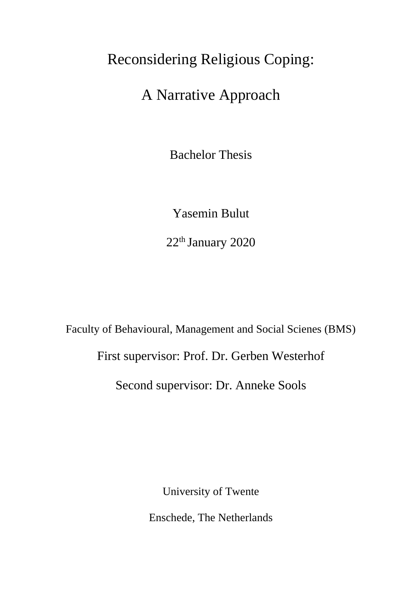# Reconsidering Religious Coping:

# A Narrative Approach

Bachelor Thesis

Yasemin Bulut

22<sup>th</sup> January 2020

Faculty of Behavioural, Management and Social Scienes (BMS)

First supervisor: Prof. Dr. Gerben Westerhof

Second supervisor: Dr. Anneke Sools

University of Twente Enschede, The Netherlands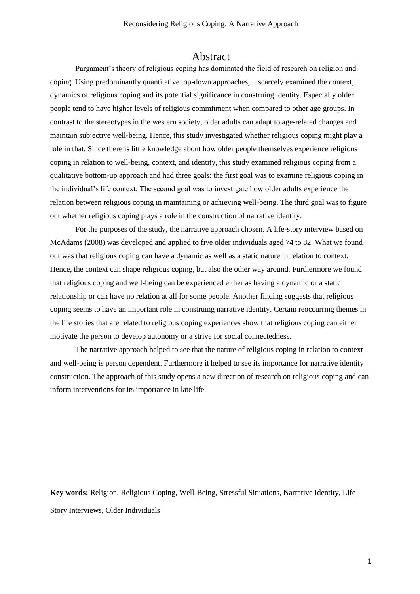### Abstract

<span id="page-1-0"></span>Pargament's theory of religious coping has dominated the field of research on religion and coping. Using predominantly quantitative top-down approaches, it scarcely examined the context, dynamics of religious coping and its potential significance in construing identity. Especially older people tend to have higher levels of religious commitment when compared to other age groups. In contrast to the stereotypes in the western society, older adults can adapt to age-related changes and maintain subjective well-being. Hence, this study investigated whether religious coping might play a role in that. Since there is little knowledge about how older people themselves experience religious coping in relation to well-being, context, and identity, this study examined religious coping from a qualitative bottom-up approach and had three goals: the first goal was to examine religious coping in the individual's life context. The second goal was to investigate how older adults experience the relation between religious coping in maintaining or achieving well-being. The third goal was to figure out whether religious coping plays a role in the construction of narrative identity.

For the purposes of the study, the narrative approach chosen. A life-story interview based on McAdams (2008) was developed and applied to five older individuals aged 74 to 82. What we found out was that religious coping can have a dynamic as well as a static nature in relation to context. Hence, the context can shape religious coping, but also the other way around. Furthermore we found that religious coping and well-being can be experienced either as having a dynamic or a static relationship or can have no relation at all for some people. Another finding suggests that religious coping seems to have an important role in construing narrative identity. Certain reoccurring themes in the life stories that are related to religious coping experiences show that religious coping can either motivate the person to develop autonomy or a strive for social connectedness.

The narrative approach helped to see that the nature of religious coping in relation to context and well-being is person dependent. Furthermore it helped to see its importance for narrative identity construction. The approach of this study opens a new direction of research on religious coping and can inform interventions for its importance in late life.

**Key words:** Religion, Religious Coping, Well-Being, Stressful Situations, Narrative Identity, Life-Story Interviews, Older Individuals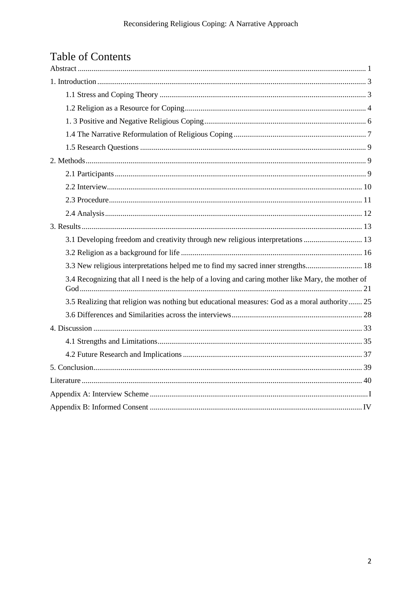# Table of Contents

| 3.1 Developing freedom and creativity through new religious interpretations  13                    |
|----------------------------------------------------------------------------------------------------|
|                                                                                                    |
| 3.3 New religious interpretations helped me to find my sacred inner strengths 18                   |
| 3.4 Recognizing that all I need is the help of a loving and caring mother like Mary, the mother of |
| 3.5 Realizing that religion was nothing but educational measures: God as a moral authority 25      |
|                                                                                                    |
|                                                                                                    |
|                                                                                                    |
|                                                                                                    |
|                                                                                                    |
|                                                                                                    |
|                                                                                                    |
|                                                                                                    |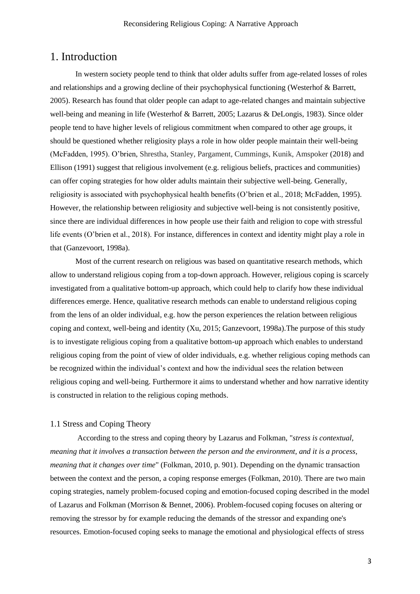## <span id="page-3-0"></span>1. Introduction

In western society people tend to think that older adults suffer from age-related losses of roles and relationships and a growing decline of their psychophysical functioning (Westerhof & Barrett, 2005). Research has found that older people can adapt to age-related changes and maintain subjective well-being and meaning in life (Westerhof & Barrett, 2005; Lazarus & DeLongis, 1983). Since older people tend to have higher levels of religious commitment when compared to other age groups, it should be questioned whether religiosity plays a role in how older people maintain their well-being (McFadden, 1995). O'brien, Shrestha, Stanley, Pargament, Cummings, Kunik, Amspoker (2018) and Ellison (1991) suggest that religious involvement (e.g. religious beliefs, practices and communities) can offer coping strategies for how older adults maintain their subjective well-being. Generally, religiosity is associated with psychophysical health benefits (O'brien et al., 2018; McFadden, 1995). However, the relationship between religiosity and subjective well-being is not consistently positive, since there are individual differences in how people use their faith and religion to cope with stressful life events (O'brien et al., 2018). For instance, differences in context and identity might play a role in that (Ganzevoort, 1998a).

Most of the current research on religious was based on quantitative research methods, which allow to understand religious coping from a top-down approach. However, religious coping is scarcely investigated from a qualitative bottom-up approach, which could help to clarify how these individual differences emerge. Hence, qualitative research methods can enable to understand religious coping from the lens of an older individual, e.g. how the person experiences the relation between religious coping and context, well-being and identity (Xu, 2015; Ganzevoort, 1998a).The purpose of this study is to investigate religious coping from a qualitative bottom-up approach which enables to understand religious coping from the point of view of older individuals, e.g. whether religious coping methods can be recognized within the individual's context and how the individual sees the relation between religious coping and well-being. Furthermore it aims to understand whether and how narrative identity is constructed in relation to the religious coping methods.

#### <span id="page-3-1"></span>1.1 Stress and Coping Theory

According to the stress and coping theory by Lazarus and Folkman, "*stress is contextual, meaning that it involves a transaction between the person and the environment, and it is a process, meaning that it changes over time*" (Folkman, 2010, p. 901). Depending on the dynamic transaction between the context and the person, a coping response emerges (Folkman, 2010). There are two main coping strategies, namely problem-focused coping and emotion-focused coping described in the model of Lazarus and Folkman (Morrison & Bennet, 2006). Problem-focused coping focuses on altering or removing the stressor by for example reducing the demands of the stressor and expanding one's resources. Emotion-focused coping seeks to manage the emotional and physiological effects of stress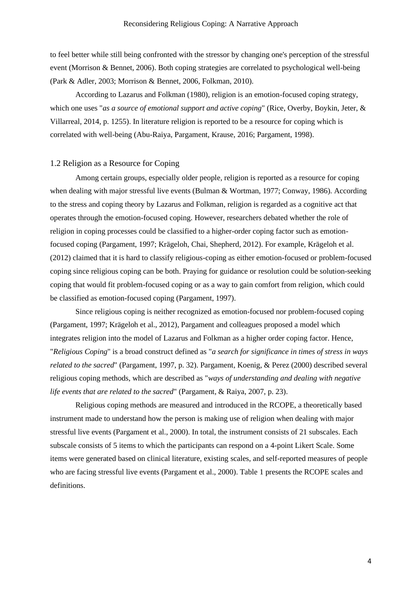to feel better while still being confronted with the stressor by changing one's perception of the stressful event (Morrison & Bennet, 2006). Both coping strategies are correlated to psychological well-being (Park & Adler, 2003; Morrison & Bennet, 2006, Folkman, 2010).

According to Lazarus and Folkman (1980), religion is an emotion-focused coping strategy, which one uses "*as a source of emotional support and active coping*" (Rice, Overby, Boykin, Jeter, & Villarreal, 2014, p. 1255). In literature religion is reported to be a resource for coping which is correlated with well-being (Abu-Raiya, Pargament, Krause, 2016; Pargament, 1998).

#### <span id="page-4-0"></span>1.2 Religion as a Resource for Coping

Among certain groups, especially older people, religion is reported as a resource for coping when dealing with major stressful live events (Bulman & Wortman, 1977; Conway, 1986). According to the stress and coping theory by Lazarus and Folkman, religion is regarded as a cognitive act that operates through the emotion-focused coping. However, researchers debated whether the role of religion in coping processes could be classified to a higher-order coping factor such as emotionfocused coping (Pargament, 1997; Krägeloh, Chai, Shepherd, 2012). For example, Krägeloh et al. (2012) claimed that it is hard to classify religious-coping as either emotion-focused or problem-focused coping since religious coping can be both. Praying for guidance or resolution could be solution-seeking coping that would fit problem-focused coping or as a way to gain comfort from religion, which could be classified as emotion-focused coping (Pargament, 1997).

Since religious coping is neither recognized as emotion-focused nor problem-focused coping (Pargament, 1997; Krägeloh et al., 2012), Pargament and colleagues proposed a model which integrates religion into the model of Lazarus and Folkman as a higher order coping factor. Hence, "*Religious Coping*" is a broad construct defined as "*a search for significance in times of stress in ways related to the sacred*" (Pargament, 1997, p. 32). Pargament, Koenig, & Perez (2000) described several religious coping methods, which are described as "*ways of understanding and dealing with negative life events that are related to the sacred*" (Pargament, & Raiya, 2007, p. 23).

Religious coping methods are measured and introduced in the RCOPE, a theoretically based instrument made to understand how the person is making use of religion when dealing with major stressful live events (Pargament et al., 2000). In total, the instrument consists of 21 subscales. Each subscale consists of 5 items to which the participants can respond on a 4-point Likert Scale. Some items were generated based on clinical literature, existing scales, and self-reported measures of people who are facing stressful live events (Pargament et al., 2000). Table 1 presents the RCOPE scales and definitions.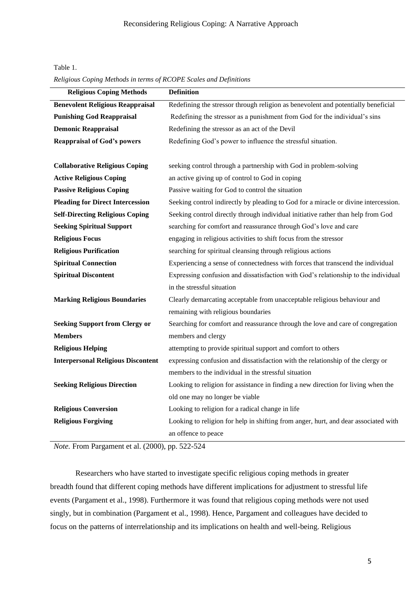#### Table 1.

#### *Religious Coping Methods in terms of RCOPE Scales and Definitions*

| <b>Religious Coping Methods</b>           | <b>Definition</b>                                                                   |
|-------------------------------------------|-------------------------------------------------------------------------------------|
| <b>Benevolent Religious Reappraisal</b>   | Redefining the stressor through religion as benevolent and potentially beneficial   |
| <b>Punishing God Reappraisal</b>          | Redefining the stressor as a punishment from God for the individual's sins          |
| <b>Demonic Reappraisal</b>                | Redefining the stressor as an act of the Devil                                      |
| <b>Reappraisal of God's powers</b>        | Redefining God's power to influence the stressful situation.                        |
|                                           |                                                                                     |
| <b>Collaborative Religious Coping</b>     | seeking control through a partnership with God in problem-solving                   |
| <b>Active Religious Coping</b>            | an active giving up of control to God in coping                                     |
| <b>Passive Religious Coping</b>           | Passive waiting for God to control the situation                                    |
| <b>Pleading for Direct Intercession</b>   | Seeking control indirectly by pleading to God for a miracle or divine intercession. |
| <b>Self-Directing Religious Coping</b>    | Seeking control directly through individual initiative rather than help from God    |
| <b>Seeking Spiritual Support</b>          | searching for comfort and reassurance through God's love and care                   |
| <b>Religious Focus</b>                    | engaging in religious activities to shift focus from the stressor                   |
| <b>Religious Purification</b>             | searching for spiritual cleansing through religious actions                         |
| <b>Spiritual Connection</b>               | Experiencing a sense of connectedness with forces that transcend the individual     |
| <b>Spiritual Discontent</b>               | Expressing confusion and dissatisfaction with God's relationship to the individual  |
|                                           | in the stressful situation                                                          |
| <b>Marking Religious Boundaries</b>       | Clearly demarcating acceptable from unacceptable religious behaviour and            |
|                                           | remaining with religious boundaries                                                 |
| <b>Seeking Support from Clergy or</b>     | Searching for comfort and reassurance through the love and care of congregation     |
| <b>Members</b>                            | members and clergy                                                                  |
| <b>Religious Helping</b>                  | attempting to provide spiritual support and comfort to others                       |
| <b>Interpersonal Religious Discontent</b> | expressing confusion and dissatisfaction with the relationship of the clergy or     |
|                                           | members to the individual in the stressful situation                                |
| <b>Seeking Religious Direction</b>        | Looking to religion for assistance in finding a new direction for living when the   |
|                                           | old one may no longer be viable                                                     |
| <b>Religious Conversion</b>               | Looking to religion for a radical change in life                                    |
| <b>Religious Forgiving</b>                | Looking to religion for help in shifting from anger, hurt, and dear associated with |
|                                           | an offence to peace                                                                 |

*Note.* From Pargament et al. (2000), pp. 522-524

Researchers who have started to investigate specific religious coping methods in greater breadth found that different coping methods have different implications for adjustment to stressful life events (Pargament et al., 1998). Furthermore it was found that religious coping methods were not used singly, but in combination (Pargament et al., 1998). Hence, Pargament and colleagues have decided to focus on the patterns of interrelationship and its implications on health and well-being. Religious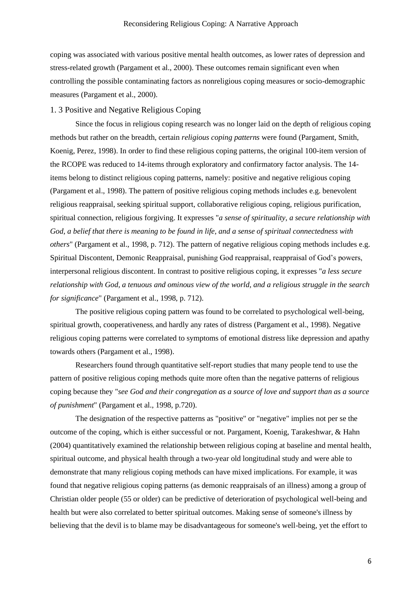coping was associated with various positive mental health outcomes, as lower rates of depression and stress-related growth (Pargament et al., 2000). These outcomes remain significant even when controlling the possible contaminating factors as nonreligious coping measures or socio-demographic measures (Pargament et al., 2000).

#### <span id="page-6-0"></span>1. 3 Positive and Negative Religious Coping

Since the focus in religious coping research was no longer laid on the depth of religious coping methods but rather on the breadth, certain *religious coping patterns* were found (Pargament, Smith, Koenig, Perez, 1998). In order to find these religious coping patterns, the original 100-item version of the RCOPE was reduced to 14-items through exploratory and confirmatory factor analysis. The 14 items belong to distinct religious coping patterns, namely: positive and negative religious coping (Pargament et al., 1998). The pattern of positive religious coping methods includes e.g. benevolent religious reappraisal, seeking spiritual support, collaborative religious coping, religious purification, spiritual connection, religious forgiving. It expresses "*a sense of spirituality, a secure relationship with God, a belief that there is meaning to be found in life, and a sense of spiritual connectedness with others*" (Pargament et al., 1998, p. 712). The pattern of negative religious coping methods includes e.g. Spiritual Discontent, Demonic Reappraisal, punishing God reappraisal, reappraisal of God's powers, interpersonal religious discontent. In contrast to positive religious coping, it expresses "*a less secure relationship with God, a tenuous and ominous view of the world, and a religious struggle in the search for significance*" (Pargament et al., 1998, p. 712).

The positive religious coping pattern was found to be correlated to psychological well-being, spiritual growth, cooperativeness, and hardly any rates of distress (Pargament et al., 1998). Negative religious coping patterns were correlated to symptoms of emotional distress like depression and apathy towards others (Pargament et al., 1998).

Researchers found through quantitative self-report studies that many people tend to use the pattern of positive religious coping methods quite more often than the negative patterns of religious coping because they "*see God and their congregation as a source of love and support than as a source of punishment*" (Pargament et al., 1998, p.720).

The designation of the respective patterns as "positive" or "negative" implies not per se the outcome of the coping, which is either successful or not. Pargament, Koenig, Tarakeshwar, & Hahn (2004) quantitatively examined the relationship between religious coping at baseline and mental health, spiritual outcome, and physical health through a two-year old longitudinal study and were able to demonstrate that many religious coping methods can have mixed implications. For example, it was found that negative religious coping patterns (as demonic reappraisals of an illness) among a group of Christian older people (55 or older) can be predictive of deterioration of psychological well-being and health but were also correlated to better spiritual outcomes. Making sense of someone's illness by believing that the devil is to blame may be disadvantageous for someone's well-being, yet the effort to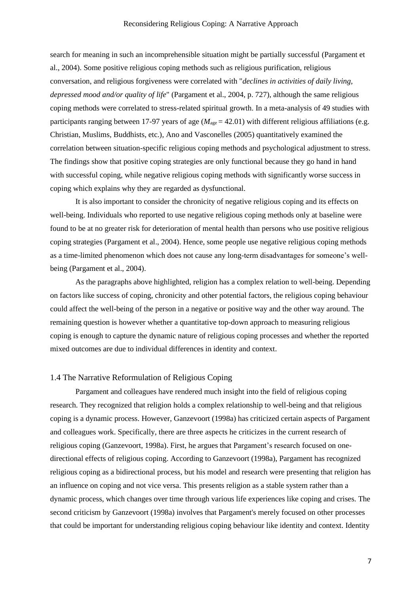search for meaning in such an incomprehensible situation might be partially successful (Pargament et al., 2004). Some positive religious coping methods such as religious purification, religious conversation, and religious forgiveness were correlated with "*declines in activities of daily living, depressed mood and/or quality of life*" (Pargament et al., 2004, p. 727), although the same religious coping methods were correlated to stress-related spiritual growth. In a meta-analysis of 49 studies with participants ranging between 17-97 years of age  $(M<sub>age</sub> = 42.01)$  with different religious affiliations (e.g. Christian, Muslims, Buddhists, etc.), Ano and Vasconelles (2005) quantitatively examined the correlation between situation-specific religious coping methods and psychological adjustment to stress. The findings show that positive coping strategies are only functional because they go hand in hand with successful coping, while negative religious coping methods with significantly worse success in coping which explains why they are regarded as dysfunctional.

It is also important to consider the chronicity of negative religious coping and its effects on well-being. Individuals who reported to use negative religious coping methods only at baseline were found to be at no greater risk for deterioration of mental health than persons who use positive religious coping strategies (Pargament et al., 2004). Hence, some people use negative religious coping methods as a time-limited phenomenon which does not cause any long-term disadvantages for someone's wellbeing (Pargament et al., 2004).

As the paragraphs above highlighted, religion has a complex relation to well-being. Depending on factors like success of coping, chronicity and other potential factors, the religious coping behaviour could affect the well-being of the person in a negative or positive way and the other way around. The remaining question is however whether a quantitative top-down approach to measuring religious coping is enough to capture the dynamic nature of religious coping processes and whether the reported mixed outcomes are due to individual differences in identity and context.

#### <span id="page-7-0"></span>1.4 The Narrative Reformulation of Religious Coping

Pargament and colleagues have rendered much insight into the field of religious coping research. They recognized that religion holds a complex relationship to well-being and that religious coping is a dynamic process. However, Ganzevoort (1998a) has criticized certain aspects of Pargament and colleagues work. Specifically, there are three aspects he criticizes in the current research of religious coping (Ganzevoort, 1998a). First, he argues that Pargament's research focused on onedirectional effects of religious coping. According to Ganzevoort (1998a), Pargament has recognized religious coping as a bidirectional process, but his model and research were presenting that religion has an influence on coping and not vice versa. This presents religion as a stable system rather than a dynamic process, which changes over time through various life experiences like coping and crises. The second criticism by Ganzevoort (1998a) involves that Pargament's merely focused on other processes that could be important for understanding religious coping behaviour like identity and context. Identity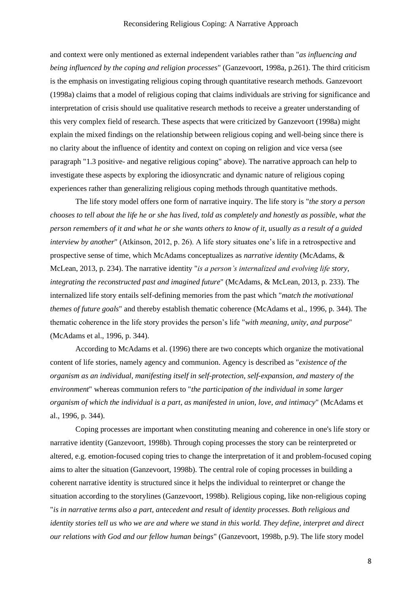and context were only mentioned as external independent variables rather than "*as influencing and being influenced by the coping and religion processes*" (Ganzevoort, 1998a, p.261). The third criticism is the emphasis on investigating religious coping through quantitative research methods. Ganzevoort (1998a) claims that a model of religious coping that claims individuals are striving for significance and interpretation of crisis should use qualitative research methods to receive a greater understanding of this very complex field of research. These aspects that were criticized by Ganzevoort (1998a) might explain the mixed findings on the relationship between religious coping and well-being since there is no clarity about the influence of identity and context on coping on religion and vice versa (see paragraph "1.3 positive- and negative religious coping" above). The narrative approach can help to investigate these aspects by exploring the idiosyncratic and dynamic nature of religious coping experiences rather than generalizing religious coping methods through quantitative methods.

The life story model offers one form of narrative inquiry. The life story is "*the story a person chooses to tell about the life he or she has lived, told as completely and honestly as possible, what the person remembers of it and what he or she wants others to know of it, usually as a result of a guided interview by another*" (Atkinson, 2012, p. 26). A life story situates one's life in a retrospective and prospective sense of time, which McAdams conceptualizes as *narrative identity* (McAdams, & McLean, 2013, p. 234). The narrative identity "*is a person's internalized and evolving life story, integrating the reconstructed past and imagined future*" (McAdams, & McLean, 2013, p. 233). The internalized life story entails self-defining memories from the past which "*match the motivational themes of future goals*" and thereby establish thematic coherence (McAdams et al., 1996, p. 344). The thematic coherence in the life story provides the person's life "*with meaning, unity, and purpose*" (McAdams et al., 1996, p. 344).

According to McAdams et al. (1996) there are two concepts which organize the motivational content of life stories, namely agency and communion. Agency is described as "*existence of the organism as an individual, manifesting itself in self-protection, self-expansion, and mastery of the environment*" whereas communion refers to "*the participation of the individual in some larger organism of which the individual is a part, as manifested in union, love, and intimacy*" (McAdams et al., 1996, p. 344).

Coping processes are important when constituting meaning and coherence in one's life story or narrative identity (Ganzevoort, 1998b). Through coping processes the story can be reinterpreted or altered, e.g. emotion-focused coping tries to change the interpretation of it and problem-focused coping aims to alter the situation (Ganzevoort, 1998b). The central role of coping processes in building a coherent narrative identity is structured since it helps the individual to reinterpret or change the situation according to the storylines (Ganzevoort, 1998b). Religious coping, like non-religious coping "*is in narrative terms also a part, antecedent and result of identity processes. Both religious and identity stories tell us who we are and where we stand in this world. They define, interpret and direct our relations with God and our fellow human beings*" (Ganzevoort, 1998b, p.9). The life story model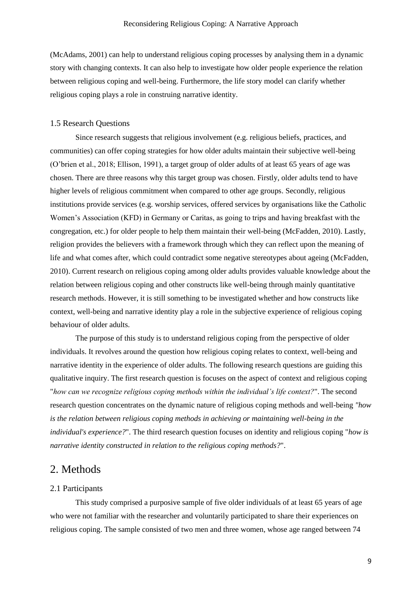(McAdams, 2001) can help to understand religious coping processes by analysing them in a dynamic story with changing contexts. It can also help to investigate how older people experience the relation between religious coping and well-being. Furthermore, the life story model can clarify whether religious coping plays a role in construing narrative identity.

#### <span id="page-9-0"></span>1.5 Research Questions

Since research suggests that religious involvement (e.g. religious beliefs, practices, and communities) can offer coping strategies for how older adults maintain their subjective well-being (O'brien et al., 2018; Ellison, 1991), a target group of older adults of at least 65 years of age was chosen. There are three reasons why this target group was chosen. Firstly, older adults tend to have higher levels of religious commitment when compared to other age groups. Secondly, religious institutions provide services (e.g. worship services, offered services by organisations like the Catholic Women's Association (KFD) in Germany or Caritas, as going to trips and having breakfast with the congregation, etc.) for older people to help them maintain their well-being (McFadden, 2010). Lastly, religion provides the believers with a framework through which they can reflect upon the meaning of life and what comes after, which could contradict some negative stereotypes about ageing (McFadden, 2010). Current research on religious coping among older adults provides valuable knowledge about the relation between religious coping and other constructs like well-being through mainly quantitative research methods. However, it is still something to be investigated whether and how constructs like context, well-being and narrative identity play a role in the subjective experience of religious coping behaviour of older adults.

The purpose of this study is to understand religious coping from the perspective of older individuals. It revolves around the question how religious coping relates to context, well-being and narrative identity in the experience of older adults. The following research questions are guiding this qualitative inquiry. The first research question is focuses on the aspect of context and religious coping "*how can we recognize religious coping methods within the individual's life context?*". The second research question concentrates on the dynamic nature of religious coping methods and well-being *"how is the relation between religious coping methods in achieving or maintaining well-being in the individual's experience?*". The third research question focuses on identity and religious coping "*how is narrative identity constructed in relation to the religious coping methods?*".

## <span id="page-9-1"></span>2. Methods

#### <span id="page-9-2"></span>2.1 Participants

This study comprised a purposive sample of five older individuals of at least 65 years of age who were not familiar with the researcher and voluntarily participated to share their experiences on religious coping. The sample consisted of two men and three women, whose age ranged between 74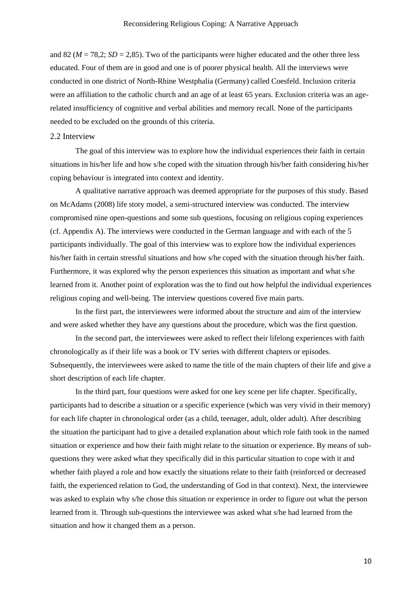and 82 ( $M = 78,2$ ;  $SD = 2,85$ ). Two of the participants were higher educated and the other three less educated. Four of them are in good and one is of poorer physical health. All the interviews were conducted in one district of North-Rhine Westphalia (Germany) called Coesfeld. Inclusion criteria were an affiliation to the catholic church and an age of at least 65 years. Exclusion criteria was an agerelated insufficiency of cognitive and verbal abilities and memory recall. None of the participants needed to be excluded on the grounds of this criteria.

#### <span id="page-10-0"></span>2.2 Interview

The goal of this interview was to explore how the individual experiences their faith in certain situations in his/her life and how s/he coped with the situation through his/her faith considering his/her coping behaviour is integrated into context and identity.

A qualitative narrative approach was deemed appropriate for the purposes of this study. Based on McAdams (2008) life story model, a semi-structured interview was conducted. The interview compromised nine open-questions and some sub questions, focusing on religious coping experiences (cf. Appendix A). The interviews were conducted in the German language and with each of the 5 participants individually. The goal of this interview was to explore how the individual experiences his/her faith in certain stressful situations and how s/he coped with the situation through his/her faith. Furthermore, it was explored why the person experiences this situation as important and what s/he learned from it. Another point of exploration was the to find out how helpful the individual experiences religious coping and well-being. The interview questions covered five main parts.

In the first part, the interviewees were informed about the structure and aim of the interview and were asked whether they have any questions about the procedure, which was the first question.

In the second part, the interviewees were asked to reflect their lifelong experiences with faith chronologically as if their life was a book or TV series with different chapters or episodes. Subsequently, the interviewees were asked to name the title of the main chapters of their life and give a short description of each life chapter.

In the third part, four questions were asked for one key scene per life chapter. Specifically, participants had to describe a situation or a specific experience (which was very vivid in their memory) for each life chapter in chronological order (as a child, teenager, adult, older adult). After describing the situation the participant had to give a detailed explanation about which role faith took in the named situation or experience and how their faith might relate to the situation or experience. By means of subquestions they were asked what they specifically did in this particular situation to cope with it and whether faith played a role and how exactly the situations relate to their faith (reinforced or decreased faith, the experienced relation to God, the understanding of God in that context). Next, the interviewee was asked to explain why s/he chose this situation or experience in order to figure out what the person learned from it. Through sub-questions the interviewee was asked what s/he had learned from the situation and how it changed them as a person.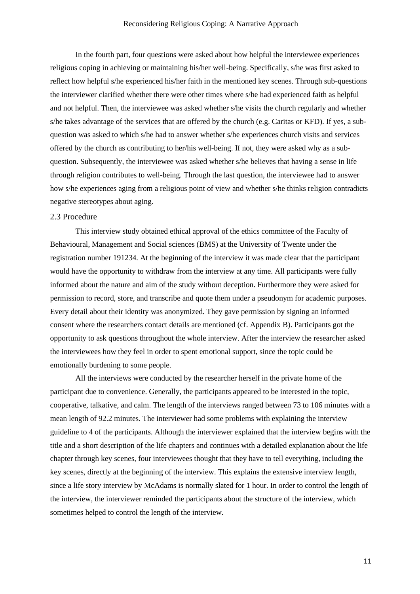In the fourth part, four questions were asked about how helpful the interviewee experiences religious coping in achieving or maintaining his/her well-being. Specifically, s/he was first asked to reflect how helpful s/he experienced his/her faith in the mentioned key scenes. Through sub-questions the interviewer clarified whether there were other times where s/he had experienced faith as helpful and not helpful. Then, the interviewee was asked whether s/he visits the church regularly and whether s/he takes advantage of the services that are offered by the church (e.g. Caritas or KFD). If yes, a subquestion was asked to which s/he had to answer whether s/he experiences church visits and services offered by the church as contributing to her/his well-being. If not, they were asked why as a subquestion. Subsequently, the interviewee was asked whether s/he believes that having a sense in life through religion contributes to well-being. Through the last question, the interviewee had to answer how s/he experiences aging from a religious point of view and whether s/he thinks religion contradicts negative stereotypes about aging.

#### <span id="page-11-0"></span>2.3 Procedure

This interview study obtained ethical approval of the ethics committee of the Faculty of Behavioural, Management and Social sciences (BMS) at the University of Twente under the registration number 191234. At the beginning of the interview it was made clear that the participant would have the opportunity to withdraw from the interview at any time. All participants were fully informed about the nature and aim of the study without deception. Furthermore they were asked for permission to record, store, and transcribe and quote them under a pseudonym for academic purposes. Every detail about their identity was anonymized. They gave permission by signing an informed consent where the researchers contact details are mentioned (cf. Appendix B). Participants got the opportunity to ask questions throughout the whole interview. After the interview the researcher asked the interviewees how they feel in order to spent emotional support, since the topic could be emotionally burdening to some people.

All the interviews were conducted by the researcher herself in the private home of the participant due to convenience. Generally, the participants appeared to be interested in the topic, cooperative, talkative, and calm. The length of the interviews ranged between 73 to 106 minutes with a mean length of 92.2 minutes. The interviewer had some problems with explaining the interview guideline to 4 of the participants. Although the interviewer explained that the interview begins with the title and a short description of the life chapters and continues with a detailed explanation about the life chapter through key scenes, four interviewees thought that they have to tell everything, including the key scenes, directly at the beginning of the interview. This explains the extensive interview length, since a life story interview by McAdams is normally slated for 1 hour. In order to control the length of the interview, the interviewer reminded the participants about the structure of the interview, which sometimes helped to control the length of the interview.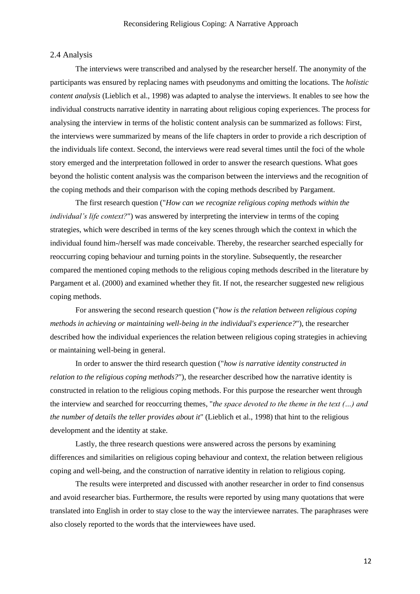#### <span id="page-12-0"></span>2.4 Analysis

The interviews were transcribed and analysed by the researcher herself. The anonymity of the participants was ensured by replacing names with pseudonyms and omitting the locations. The *holistic content analysis* (Lieblich et al., 1998) was adapted to analyse the interviews. It enables to see how the individual constructs narrative identity in narrating about religious coping experiences. The process for analysing the interview in terms of the holistic content analysis can be summarized as follows: First, the interviews were summarized by means of the life chapters in order to provide a rich description of the individuals life context. Second, the interviews were read several times until the foci of the whole story emerged and the interpretation followed in order to answer the research questions. What goes beyond the holistic content analysis was the comparison between the interviews and the recognition of the coping methods and their comparison with the coping methods described by Pargament.

The first research question ("*How can we recognize religious coping methods within the individual's life context?*") was answered by interpreting the interview in terms of the coping strategies, which were described in terms of the key scenes through which the context in which the individual found him-/herself was made conceivable. Thereby, the researcher searched especially for reoccurring coping behaviour and turning points in the storyline. Subsequently, the researcher compared the mentioned coping methods to the religious coping methods described in the literature by Pargament et al. (2000) and examined whether they fit. If not, the researcher suggested new religious coping methods.

For answering the second research question ("*how is the relation between religious coping methods in achieving or maintaining well-being in the individual's experience?*"), the researcher described how the individual experiences the relation between religious coping strategies in achieving or maintaining well-being in general.

In order to answer the third research question ("*how is narrative identity constructed in relation to the religious coping methods?*"), the researcher described how the narrative identity is constructed in relation to the religious coping methods. For this purpose the researcher went through the interview and searched for reoccurring themes, "*the space devoted to the theme in the text (…) and the number of details the teller provides about it*" (Lieblich et al., 1998) that hint to the religious development and the identity at stake.

Lastly, the three research questions were answered across the persons by examining differences and similarities on religious coping behaviour and context, the relation between religious coping and well-being, and the construction of narrative identity in relation to religious coping.

The results were interpreted and discussed with another researcher in order to find consensus and avoid researcher bias. Furthermore, the results were reported by using many quotations that were translated into English in order to stay close to the way the interviewee narrates. The paraphrases were also closely reported to the words that the interviewees have used.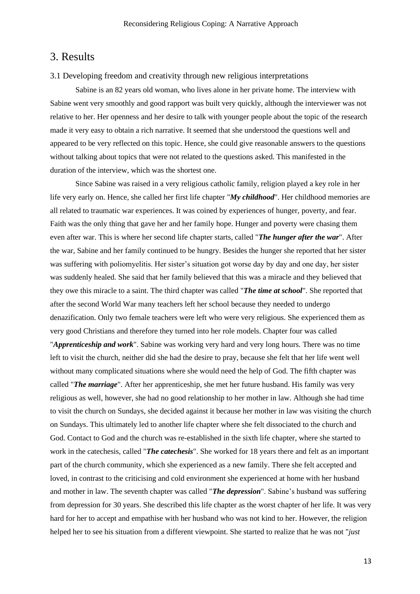### <span id="page-13-0"></span>3. Results

#### <span id="page-13-1"></span>3.1 Developing freedom and creativity through new religious interpretations

Sabine is an 82 years old woman, who lives alone in her private home. The interview with Sabine went very smoothly and good rapport was built very quickly, although the interviewer was not relative to her. Her openness and her desire to talk with younger people about the topic of the research made it very easy to obtain a rich narrative. It seemed that she understood the questions well and appeared to be very reflected on this topic. Hence, she could give reasonable answers to the questions without talking about topics that were not related to the questions asked. This manifested in the duration of the interview, which was the shortest one.

Since Sabine was raised in a very religious catholic family, religion played a key role in her life very early on. Hence, she called her first life chapter "*My childhood*". Her childhood memories are all related to traumatic war experiences. It was coined by experiences of hunger, poverty, and fear. Faith was the only thing that gave her and her family hope. Hunger and poverty were chasing them even after war. This is where her second life chapter starts, called "*The hunger after the war*". After the war, Sabine and her family continued to be hungry. Besides the hunger she reported that her sister was suffering with poliomyelitis. Her sister's situation got worse day by day and one day, her sister was suddenly healed. She said that her family believed that this was a miracle and they believed that they owe this miracle to a saint. The third chapter was called "*The time at school*". She reported that after the second World War many teachers left her school because they needed to undergo denazification. Only two female teachers were left who were very religious. She experienced them as very good Christians and therefore they turned into her role models. Chapter four was called "*Apprenticeship and work*". Sabine was working very hard and very long hours. There was no time left to visit the church, neither did she had the desire to pray, because she felt that her life went well without many complicated situations where she would need the help of God. The fifth chapter was called "*The marriage*". After her apprenticeship, she met her future husband. His family was very religious as well, however, she had no good relationship to her mother in law. Although she had time to visit the church on Sundays, she decided against it because her mother in law was visiting the church on Sundays. This ultimately led to another life chapter where she felt dissociated to the church and God. Contact to God and the church was re-established in the sixth life chapter, where she started to work in the catechesis, called "*The catechesis*". She worked for 18 years there and felt as an important part of the church community, which she experienced as a new family. There she felt accepted and loved, in contrast to the criticising and cold environment she experienced at home with her husband and mother in law. The seventh chapter was called "*The depression*". Sabine's husband was suffering from depression for 30 years. She described this life chapter as the worst chapter of her life. It was very hard for her to accept and empathise with her husband who was not kind to her. However, the religion helped her to see his situation from a different viewpoint. She started to realize that he was not "*just*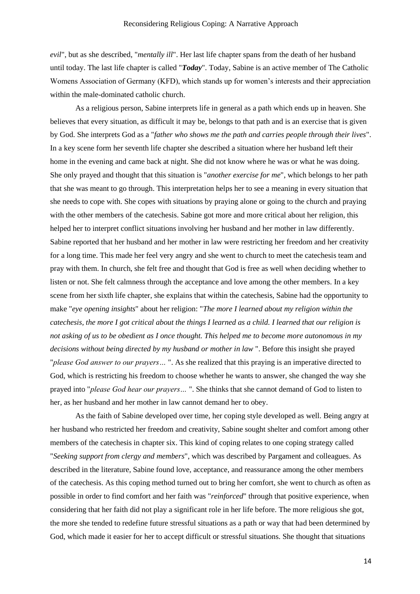*evil*", but as she described, "*mentally ill*". Her last life chapter spans from the death of her husband until today. The last life chapter is called "*Today*". Today, Sabine is an active member of The Catholic Womens Association of Germany (KFD), which stands up for women's interests and their appreciation within the male-dominated catholic church.

As a religious person, Sabine interprets life in general as a path which ends up in heaven. She believes that every situation, as difficult it may be, belongs to that path and is an exercise that is given by God. She interprets God as a "*father who shows me the path and carries people through their lives*". In a key scene form her seventh life chapter she described a situation where her husband left their home in the evening and came back at night. She did not know where he was or what he was doing. She only prayed and thought that this situation is "*another exercise for me*", which belongs to her path that she was meant to go through. This interpretation helps her to see a meaning in every situation that she needs to cope with. She copes with situations by praying alone or going to the church and praying with the other members of the catechesis. Sabine got more and more critical about her religion, this helped her to interpret conflict situations involving her husband and her mother in law differently. Sabine reported that her husband and her mother in law were restricting her freedom and her creativity for a long time. This made her feel very angry and she went to church to meet the catechesis team and pray with them. In church, she felt free and thought that God is free as well when deciding whether to listen or not. She felt calmness through the acceptance and love among the other members. In a key scene from her sixth life chapter, she explains that within the catechesis, Sabine had the opportunity to make "*eye opening insights*" about her religion: "*The more I learned about my religion within the catechesis, the more I got critical about the things I learned as a child. I learned that our religion is not asking of us to be obedient as I once thought. This helped me to become more autonomous in my decisions without being directed by my husband or mother in law* ". Before this insight she prayed "*please God answer to our prayers…* ". As she realized that this praying is an imperative directed to God, which is restricting his freedom to choose whether he wants to answer, she changed the way she prayed into "*please God hear our prayers…* ". She thinks that she cannot demand of God to listen to her, as her husband and her mother in law cannot demand her to obey.

As the faith of Sabine developed over time, her coping style developed as well. Being angry at her husband who restricted her freedom and creativity, Sabine sought shelter and comfort among other members of the catechesis in chapter six. This kind of coping relates to one coping strategy called "*Seeking support from clergy and members*", which was described by Pargament and colleagues. As described in the literature, Sabine found love, acceptance, and reassurance among the other members of the catechesis. As this coping method turned out to bring her comfort, she went to church as often as possible in order to find comfort and her faith was "*reinforced*" through that positive experience, when considering that her faith did not play a significant role in her life before. The more religious she got, the more she tended to redefine future stressful situations as a path or way that had been determined by God, which made it easier for her to accept difficult or stressful situations. She thought that situations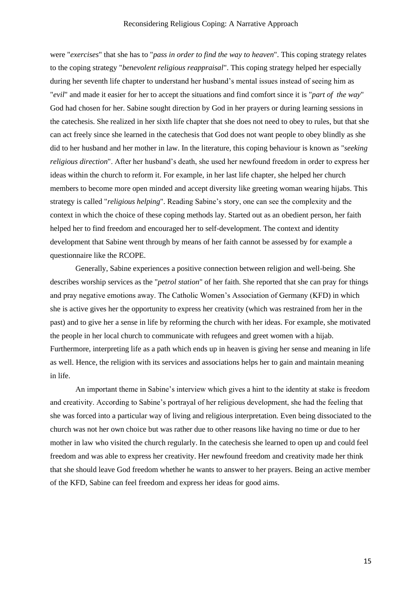were "*exercises*" that she has to "*pass in order to find the way to heaven*". This coping strategy relates to the coping strategy "*benevolent religious reappraisal*". This coping strategy helped her especially during her seventh life chapter to understand her husband's mental issues instead of seeing him as "*evil*" and made it easier for her to accept the situations and find comfort since it is "*part of the way*" God had chosen for her. Sabine sought direction by God in her prayers or during learning sessions in the catechesis. She realized in her sixth life chapter that she does not need to obey to rules, but that she can act freely since she learned in the catechesis that God does not want people to obey blindly as she did to her husband and her mother in law. In the literature, this coping behaviour is known as "*seeking religious direction*". After her husband's death, she used her newfound freedom in order to express her ideas within the church to reform it. For example, in her last life chapter, she helped her church members to become more open minded and accept diversity like greeting woman wearing hijabs. This strategy is called "*religious helping*". Reading Sabine's story, one can see the complexity and the context in which the choice of these coping methods lay. Started out as an obedient person, her faith helped her to find freedom and encouraged her to self-development. The context and identity development that Sabine went through by means of her faith cannot be assessed by for example a questionnaire like the RCOPE.

Generally, Sabine experiences a positive connection between religion and well-being. She describes worship services as the "*petrol station*" of her faith. She reported that she can pray for things and pray negative emotions away. The Catholic Women's Association of Germany (KFD) in which she is active gives her the opportunity to express her creativity (which was restrained from her in the past) and to give her a sense in life by reforming the church with her ideas. For example, she motivated the people in her local church to communicate with refugees and greet women with a hijab. Furthermore, interpreting life as a path which ends up in heaven is giving her sense and meaning in life as well. Hence, the religion with its services and associations helps her to gain and maintain meaning in life.

An important theme in Sabine's interview which gives a hint to the identity at stake is freedom and creativity. According to Sabine's portrayal of her religious development, she had the feeling that she was forced into a particular way of living and religious interpretation. Even being dissociated to the church was not her own choice but was rather due to other reasons like having no time or due to her mother in law who visited the church regularly. In the catechesis she learned to open up and could feel freedom and was able to express her creativity. Her newfound freedom and creativity made her think that she should leave God freedom whether he wants to answer to her prayers. Being an active member of the KFD, Sabine can feel freedom and express her ideas for good aims.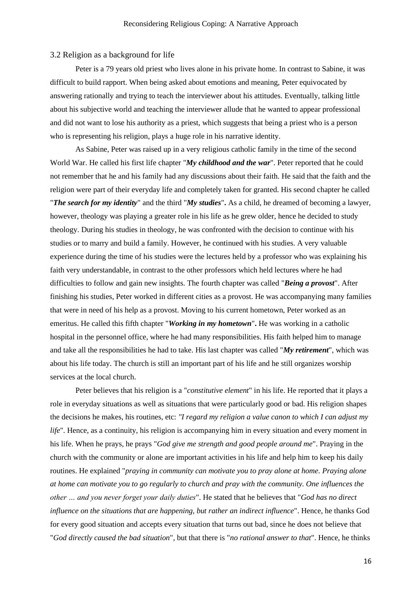#### <span id="page-16-0"></span>3.2 Religion as a background for life

Peter is a 79 years old priest who lives alone in his private home. In contrast to Sabine, it was difficult to build rapport. When being asked about emotions and meaning, Peter equivocated by answering rationally and trying to teach the interviewer about his attitudes. Eventually, talking little about his subjective world and teaching the interviewer allude that he wanted to appear professional and did not want to lose his authority as a priest, which suggests that being a priest who is a person who is representing his religion, plays a huge role in his narrative identity.

As Sabine, Peter was raised up in a very religious catholic family in the time of the second World War. He called his first life chapter "*My childhood and the war*". Peter reported that he could not remember that he and his family had any discussions about their faith. He said that the faith and the religion were part of their everyday life and completely taken for granted. His second chapter he called "*The search for my identity*" and the third "*My studies*"**.** As a child, he dreamed of becoming a lawyer, however, theology was playing a greater role in his life as he grew older, hence he decided to study theology. During his studies in theology, he was confronted with the decision to continue with his studies or to marry and build a family. However, he continued with his studies. A very valuable experience during the time of his studies were the lectures held by a professor who was explaining his faith very understandable, in contrast to the other professors which held lectures where he had difficulties to follow and gain new insights. The fourth chapter was called "*Being a provost*". After finishing his studies, Peter worked in different cities as a provost. He was accompanying many families that were in need of his help as a provost. Moving to his current hometown, Peter worked as an emeritus. He called this fifth chapter "*Working in my hometown*"**.** He was working in a catholic hospital in the personnel office, where he had many responsibilities. His faith helped him to manage and take all the responsibilities he had to take. His last chapter was called "*My retirement*", which was about his life today. The church is still an important part of his life and he still organizes worship services at the local church.

Peter believes that his religion is a "*constitutive element*" in his life. He reported that it plays a role in everyday situations as well as situations that were particularly good or bad. His religion shapes the decisions he makes, his routines, etc: *"I regard my religion a value canon to which I can adjust my life*". Hence, as a continuity, his religion is accompanying him in every situation and every moment in his life. When he prays, he prays "*God give me strength and good people around me*". Praying in the church with the community or alone are important activities in his life and help him to keep his daily routines. He explained "*praying in community can motivate you to pray alone at home. Praying alone at home can motivate you to go regularly to church and pray with the community. One influences the other … and you never forget your daily duties*". He stated that he believes that "*God has no direct influence on the situations that are happening, but rather an indirect influence*". Hence, he thanks God for every good situation and accepts every situation that turns out bad, since he does not believe that "*God directly caused the bad situation*", but that there is "*no rational answer to that*". Hence, he thinks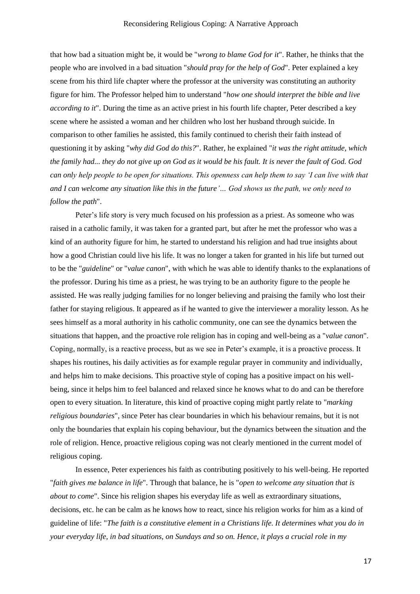that how bad a situation might be, it would be "*wrong to blame God for it*". Rather, he thinks that the people who are involved in a bad situation "*should pray for the help of God*". Peter explained a key scene from his third life chapter where the professor at the university was constituting an authority figure for him. The Professor helped him to understand "*how one should interpret the bible and live according to it*". During the time as an active priest in his fourth life chapter, Peter described a key scene where he assisted a woman and her children who lost her husband through suicide. In comparison to other families he assisted, this family continued to cherish their faith instead of questioning it by asking "*why did God do this?*". Rather, he explained "*it was the right attitude, which the family had... they do not give up on God as it would be his fault. It is never the fault of God. God can only help people to be open for situations. This openness can help them to say 'I can live with that and I can welcome any situation like this in the future'… God shows us the path, we only need to follow the path*".

Peter's life story is very much focused on his profession as a priest. As someone who was raised in a catholic family, it was taken for a granted part, but after he met the professor who was a kind of an authority figure for him, he started to understand his religion and had true insights about how a good Christian could live his life. It was no longer a taken for granted in his life but turned out to be the "*guideline*" or "*value canon*", with which he was able to identify thanks to the explanations of the professor. During his time as a priest, he was trying to be an authority figure to the people he assisted. He was really judging families for no longer believing and praising the family who lost their father for staying religious. It appeared as if he wanted to give the interviewer a morality lesson. As he sees himself as a moral authority in his catholic community, one can see the dynamics between the situations that happen, and the proactive role religion has in coping and well-being as a "*value canon*". Coping, normally, is a reactive process, but as we see in Peter's example, it is a proactive process. It shapes his routines, his daily activities as for example regular prayer in community and individually, and helps him to make decisions. This proactive style of coping has a positive impact on his wellbeing, since it helps him to feel balanced and relaxed since he knows what to do and can be therefore open to every situation. In literature, this kind of proactive coping might partly relate to "*marking religious boundaries*", since Peter has clear boundaries in which his behaviour remains, but it is not only the boundaries that explain his coping behaviour, but the dynamics between the situation and the role of religion. Hence, proactive religious coping was not clearly mentioned in the current model of religious coping.

In essence, Peter experiences his faith as contributing positively to his well-being. He reported "*faith gives me balance in life*". Through that balance, he is "*open to welcome any situation that is about to come*". Since his religion shapes his everyday life as well as extraordinary situations, decisions, etc. he can be calm as he knows how to react, since his religion works for him as a kind of guideline of life: "*The faith is a constitutive element in a Christians life. It determines what you do in your everyday life, in bad situations, on Sundays and so on. Hence, it plays a crucial role in my*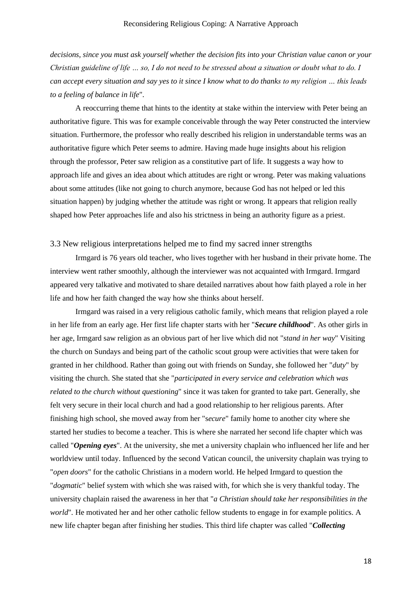*decisions, since you must ask yourself whether the decision fits into your Christian value canon or your Christian guideline of life … so, I do not need to be stressed about a situation or doubt what to do. I can accept every situation and say yes to it since I know what to do thanks to my religion … this leads to a feeling of balance in life*"*.*

A reoccurring theme that hints to the identity at stake within the interview with Peter being an authoritative figure. This was for example conceivable through the way Peter constructed the interview situation. Furthermore, the professor who really described his religion in understandable terms was an authoritative figure which Peter seems to admire. Having made huge insights about his religion through the professor, Peter saw religion as a constitutive part of life. It suggests a way how to approach life and gives an idea about which attitudes are right or wrong. Peter was making valuations about some attitudes (like not going to church anymore, because God has not helped or led this situation happen) by judging whether the attitude was right or wrong. It appears that religion really shaped how Peter approaches life and also his strictness in being an authority figure as a priest.

#### <span id="page-18-0"></span>3.3 New religious interpretations helped me to find my sacred inner strengths

Irmgard is 76 years old teacher, who lives together with her husband in their private home. The interview went rather smoothly, although the interviewer was not acquainted with Irmgard. Irmgard appeared very talkative and motivated to share detailed narratives about how faith played a role in her life and how her faith changed the way how she thinks about herself.

Irmgard was raised in a very religious catholic family, which means that religion played a role in her life from an early age. Her first life chapter starts with her "*Secure childhood*". As other girls in her age, Irmgard saw religion as an obvious part of her live which did not "*stand in her way*" Visiting the church on Sundays and being part of the catholic scout group were activities that were taken for granted in her childhood. Rather than going out with friends on Sunday, she followed her "*duty*" by visiting the church. She stated that she "*participated in every service and celebration which was related to the church without questioning*" since it was taken for granted to take part. Generally, she felt very secure in their local church and had a good relationship to her religious parents. After finishing high school, she moved away from her "s*ecure*" family home to another city where she started her studies to become a teacher. This is where she narrated her second life chapter which was called "*Opening eyes*". At the university, she met a university chaplain who influenced her life and her worldview until today. Influenced by the second Vatican council, the university chaplain was trying to "*open doors*" for the catholic Christians in a modern world. He helped Irmgard to question the "*dogmatic*" belief system with which she was raised with, for which she is very thankful today. The university chaplain raised the awareness in her that "*a Christian should take her responsibilities in the world*"*.* He motivated her and her other catholic fellow students to engage in for example politics. A new life chapter began after finishing her studies. This third life chapter was called "*Collecting*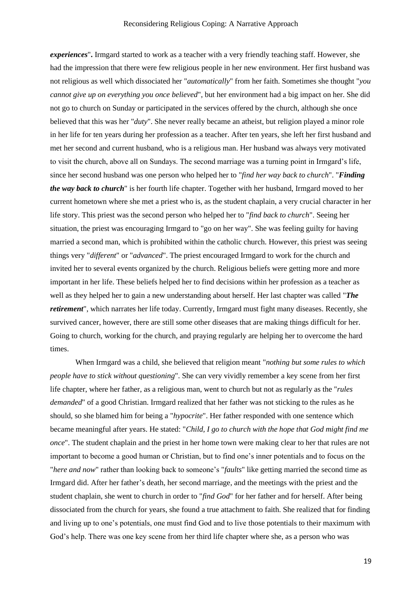*experiences*"**.** Irmgard started to work as a teacher with a very friendly teaching staff. However, she had the impression that there were few religious people in her new environment. Her first husband was not religious as well which dissociated her "*automatically*" from her faith. Sometimes she thought "*you cannot give up on everything you once believed*", but her environment had a big impact on her. She did not go to church on Sunday or participated in the services offered by the church, although she once believed that this was her "*duty*". She never really became an atheist, but religion played a minor role in her life for ten years during her profession as a teacher. After ten years, she left her first husband and met her second and current husband, who is a religious man. Her husband was always very motivated to visit the church, above all on Sundays. The second marriage was a turning point in Irmgard's life, since her second husband was one person who helped her to "*find her way back to church*". "*Finding the way back to church*" is her fourth life chapter. Together with her husband, Irmgard moved to her current hometown where she met a priest who is, as the student chaplain, a very crucial character in her life story. This priest was the second person who helped her to "*find back to church*". Seeing her situation, the priest was encouraging Irmgard to "go on her way". She was feeling guilty for having married a second man, which is prohibited within the catholic church. However, this priest was seeing things very "*different*" or "*advanced*". The priest encouraged Irmgard to work for the church and invited her to several events organized by the church. Religious beliefs were getting more and more important in her life. These beliefs helped her to find decisions within her profession as a teacher as well as they helped her to gain a new understanding about herself. Her last chapter was called "*The retirement*", which narrates her life today. Currently, Irmgard must fight many diseases. Recently, she survived cancer, however, there are still some other diseases that are making things difficult for her. Going to church, working for the church, and praying regularly are helping her to overcome the hard times.

When Irmgard was a child, she believed that religion meant "*nothing but some rules to which people have to stick without questioning*". She can very vividly remember a key scene from her first life chapter, where her father, as a religious man, went to church but not as regularly as the "*rules demanded*" of a good Christian. Irmgard realized that her father was not sticking to the rules as he should, so she blamed him for being a "*hypocrite*". Her father responded with one sentence which became meaningful after years. He stated: "*Child, I go to church with the hope that God might find me once*". The student chaplain and the priest in her home town were making clear to her that rules are not important to become a good human or Christian, but to find one's inner potentials and to focus on the "*here and now*" rather than looking back to someone's "*faults*" like getting married the second time as Irmgard did. After her father's death, her second marriage, and the meetings with the priest and the student chaplain, she went to church in order to "*find God*" for her father and for herself. After being dissociated from the church for years, she found a true attachment to faith. She realized that for finding and living up to one's potentials, one must find God and to live those potentials to their maximum with God's help. There was one key scene from her third life chapter where she, as a person who was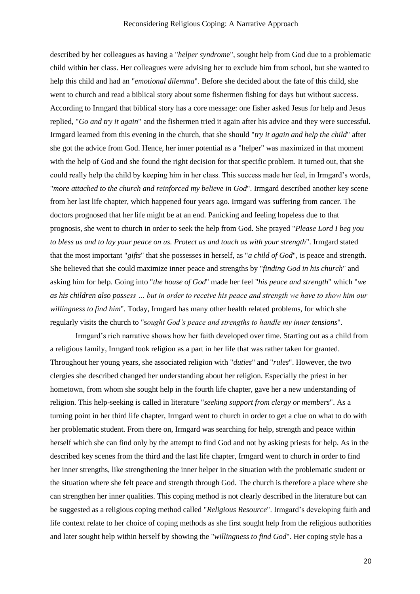described by her colleagues as having a "*helper syndrom*e", sought help from God due to a problematic child within her class. Her colleagues were advising her to exclude him from school, but she wanted to help this child and had an "*emotional dilemma*". Before she decided about the fate of this child, she went to church and read a biblical story about some fishermen fishing for days but without success. According to Irmgard that biblical story has a core message: one fisher asked Jesus for help and Jesus replied, "*Go and try it again*" and the fishermen tried it again after his advice and they were successful. Irmgard learned from this evening in the church, that she should "*try it again and help the child*" after she got the advice from God. Hence, her inner potential as a "helper" was maximized in that moment with the help of God and she found the right decision for that specific problem. It turned out, that she could really help the child by keeping him in her class. This success made her feel, in Irmgard's words, "*more attached to the church and reinforced my believe in God*". Irmgard described another key scene from her last life chapter, which happened four years ago. Irmgard was suffering from cancer. The doctors prognosed that her life might be at an end. Panicking and feeling hopeless due to that prognosis, she went to church in order to seek the help from God. She prayed "*Please Lord I beg you to bless us and to lay your peace on us. Protect us and touch us with your strength*". Irmgard stated that the most important "*gifts*" that she possesses in herself, as "*a child of God*", is peace and strength. She believed that she could maximize inner peace and strengths by "*finding God in his church*" and asking him for help. Going into "*the house of God*" made her feel "*his peace and strength*" which "*we as his children also possess … but in order to receive his peace and strength we have to show him our willingness to find him*"*.* Today, Irmgard has many other health related problems, for which she regularly visits the church to "s*ought God's peace and strengths to handle my inner tensions*".

Irmgard's rich narrative shows how her faith developed over time. Starting out as a child from a religious family, Irmgard took religion as a part in her life that was rather taken for granted. Throughout her young years, she associated religion with "*duties*" and "*rules*". However, the two clergies she described changed her understanding about her religion. Especially the priest in her hometown, from whom she sought help in the fourth life chapter, gave her a new understanding of religion. This help-seeking is called in literature "*seeking support from clergy or members*". As a turning point in her third life chapter, Irmgard went to church in order to get a clue on what to do with her problematic student. From there on, Irmgard was searching for help, strength and peace within herself which she can find only by the attempt to find God and not by asking priests for help. As in the described key scenes from the third and the last life chapter, Irmgard went to church in order to find her inner strengths, like strengthening the inner helper in the situation with the problematic student or the situation where she felt peace and strength through God. The church is therefore a place where she can strengthen her inner qualities. This coping method is not clearly described in the literature but can be suggested as a religious coping method called "*Religious Resource*". Irmgard's developing faith and life context relate to her choice of coping methods as she first sought help from the religious authorities and later sought help within herself by showing the "*willingness to find God*". Her coping style has a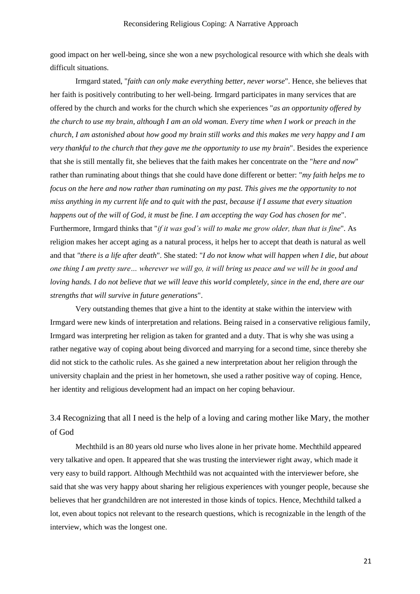good impact on her well-being, since she won a new psychological resource with which she deals with difficult situations.

Irmgard stated, "*faith can only make everything better, never worse*". Hence, she believes that her faith is positively contributing to her well-being. Irmgard participates in many services that are offered by the church and works for the church which she experiences "*as an opportunity offered by the church to use my brain, although I am an old woman. Every time when I work or preach in the church, I am astonished about how good my brain still works and this makes me very happy and I am very thankful to the church that they gave me the opportunity to use my brain*". Besides the experience that she is still mentally fit, she believes that the faith makes her concentrate on the "*here and now*" rather than ruminating about things that she could have done different or better: "*my faith helps me to focus on the here and now rather than ruminating on my past. This gives me the opportunity to not miss anything in my current life and to quit with the past, because if I assume that every situation happens out of the will of God, it must be fine. I am accepting the way God has chosen for me*". Furthermore, Irmgard thinks that "*if it was god's will to make me grow older, than that is fine*"*.* As religion makes her accept aging as a natural process, it helps her to accept that death is natural as well and that *"there is a life after death*". She stated: "*I do not know what will happen when I die, but about one thing I am pretty sure… wherever we will go, it will bring us peace and we will be in good and loving hands. I do not believe that we will leave this world completely, since in the end, there are our strengths that will survive in future generations*".

Very outstanding themes that give a hint to the identity at stake within the interview with Irmgard were new kinds of interpretation and relations. Being raised in a conservative religious family, Irmgard was interpreting her religion as taken for granted and a duty. That is why she was using a rather negative way of coping about being divorced and marrying for a second time, since thereby she did not stick to the catholic rules. As she gained a new interpretation about her religion through the university chaplain and the priest in her hometown, she used a rather positive way of coping. Hence, her identity and religious development had an impact on her coping behaviour.

# <span id="page-21-0"></span>3.4 Recognizing that all I need is the help of a loving and caring mother like Mary, the mother of God

Mechthild is an 80 years old nurse who lives alone in her private home. Mechthild appeared very talkative and open. It appeared that she was trusting the interviewer right away, which made it very easy to build rapport. Although Mechthild was not acquainted with the interviewer before, she said that she was very happy about sharing her religious experiences with younger people, because she believes that her grandchildren are not interested in those kinds of topics. Hence, Mechthild talked a lot, even about topics not relevant to the research questions, which is recognizable in the length of the interview, which was the longest one.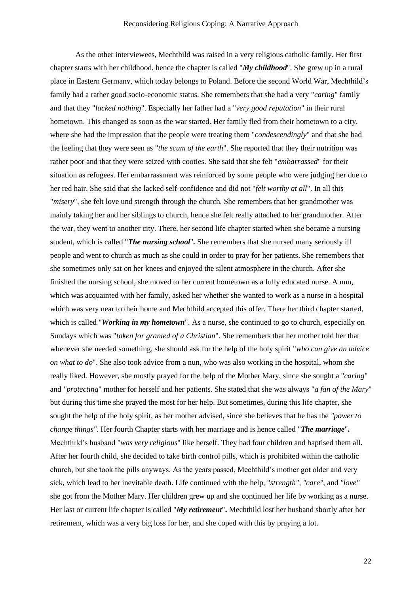As the other interviewees, Mechthild was raised in a very religious catholic family. Her first chapter starts with her childhood, hence the chapter is called "*My childhood*". She grew up in a rural place in Eastern Germany, which today belongs to Poland. Before the second World War, Mechthild's family had a rather good socio-economic status. She remembers that she had a very "*caring*" family and that they "*lacked nothing*". Especially her father had a "*very good reputation*" in their rural hometown. This changed as soon as the war started. Her family fled from their hometown to a city, where she had the impression that the people were treating them "*condescendingly*" and that she had the feeling that they were seen as "*the scum of the earth*". She reported that they their nutrition was rather poor and that they were seized with cooties. She said that she felt "*embarrassed*" for their situation as refugees. Her embarrassment was reinforced by some people who were judging her due to her red hair. She said that she lacked self-confidence and did not "*felt worthy at all*". In all this "*misery*", she felt love und strength through the church. She remembers that her grandmother was mainly taking her and her siblings to church, hence she felt really attached to her grandmother. After the war, they went to another city. There, her second life chapter started when she became a nursing student, which is called "*The nursing school*"*.* She remembers that she nursed many seriously ill people and went to church as much as she could in order to pray for her patients. She remembers that she sometimes only sat on her knees and enjoyed the silent atmosphere in the church. After she finished the nursing school, she moved to her current hometown as a fully educated nurse. A nun, which was acquainted with her family, asked her whether she wanted to work as a nurse in a hospital which was very near to their home and Mechthild accepted this offer. There her third chapter started, which is called "*Working in my hometown*". As a nurse, she continued to go to church, especially on Sundays which was "*taken for granted of a Christian*". She remembers that her mother told her that whenever she needed something, she should ask for the help of the holy spirit "*who can give an advice on what to do*". She also took advice from a nun, who was also working in the hospital, whom she really liked. However, she mostly prayed for the help of the Mother Mary, since she sought a "*caring*" and *"protecting*" mother for herself and her patients. She stated that she was always "*a fan of the Mary*" but during this time she prayed the most for her help. But sometimes, during this life chapter, she sought the help of the holy spirit, as her mother advised, since she believes that he has the *"power to change things"*. Her fourth Chapter starts with her marriage and is hence called "*The marriage*"**.** Mechthild's husband "*was very religious*" like herself. They had four children and baptised them all. After her fourth child, she decided to take birth control pills, which is prohibited within the catholic church, but she took the pills anyways. As the years passed, Mechthild's mother got older and very sick, which lead to her inevitable death. Life continued with the help, "*strength", "care"*, and *"love"* she got from the Mother Mary. Her children grew up and she continued her life by working as a nurse. Her last or current life chapter is called "*My retirement*"**.** Mechthild lost her husband shortly after her retirement, which was a very big loss for her, and she coped with this by praying a lot.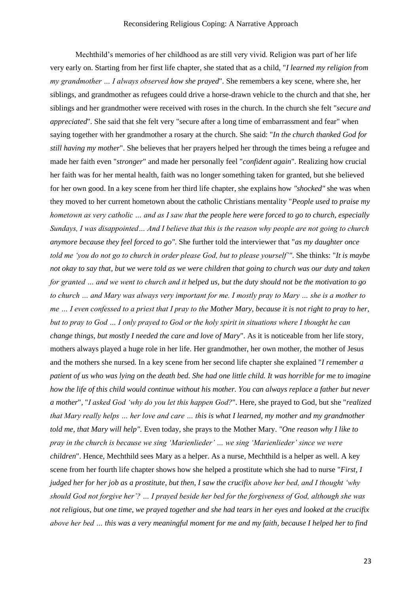Mechthild's memories of her childhood as are still very vivid. Religion was part of her life very early on. Starting from her first life chapter, she stated that as a child, "*I learned my religion from my grandmother … I always observed how she prayed*"*.* She remembers a key scene, where she, her siblings, and grandmother as refugees could drive a horse-drawn vehicle to the church and that she, her siblings and her grandmother were received with roses in the church. In the church she felt "*secure and appreciated*"*.* She said that she felt very "secure after a long time of embarrassment and fear" when saying together with her grandmother a rosary at the church. She said: "*In the church thanked God for still having my mother*". She believes that her prayers helped her through the times being a refugee and made her faith even "*stronger*" and made her personally feel "*confident again*"*.* Realizing how crucial her faith was for her mental health, faith was no longer something taken for granted, but she believed for her own good. In a key scene from her third life chapter, she explains how *"shocked"* she was when they moved to her current hometown about the catholic Christians mentality "*People used to praise my hometown as very catholic … and as I saw that the people here were forced to go to church, especially Sundays, I was disappointed… And I believe that this is the reason why people are not going to church anymore because they feel forced to go".* She further told the interviewer that "*as my daughter once told me 'you do not go to church in order please God, but to please yourself'"*. She thinks: "*It is maybe not okay to say that, but we were told as we were children that going to church was our duty and taken for granted … and we went to church and it helped us, but the duty should not be the motivation to go to church … and Mary was always very important for me. I mostly pray to Mary … she is a mother to me … I even confessed to a priest that I pray to the Mother Mary, because it is not right to pray to her, but to pray to God … I only prayed to God or the holy spirit in situations where I thought he can change things, but mostly I needed the care and love of Mary*"*.* As it is noticeable from her life story, mothers always played a huge role in her life. Her grandmother, her own mother, the mother of Jesus and the mothers she nursed. In a key scene from her second life chapter she explained "*I remember a patient of us who was lying on the death bed. She had one little child. It was horrible for me to imagine how the life of this child would continue without his mother. You can always replace a father but never a mother*"*,* "*I asked God 'why do you let this happen God?*"*.* Here, she prayed to God, but she "*realized that Mary really helps … her love and care … this is what I learned, my mother and my grandmother told me, that Mary will help".* Even today, she prays to the Mother Mary. *"One reason why I like to pray in the church is because we sing 'Marienlieder' … we sing 'Marienlieder' since we were children*". Hence, Mechthild sees Mary as a helper. As a nurse, Mechthild is a helper as well. A key scene from her fourth life chapter shows how she helped a prostitute which she had to nurse "*First, I judged her for her job as a prostitute, but then, I saw the crucifix above her bed, and I thought 'why should God not forgive her'? … I prayed beside her bed for the forgiveness of God, although she was not religious, but one time, we prayed together and she had tears in her eyes and looked at the crucifix above her bed … this was a very meaningful moment for me and my faith, because I helped her to find*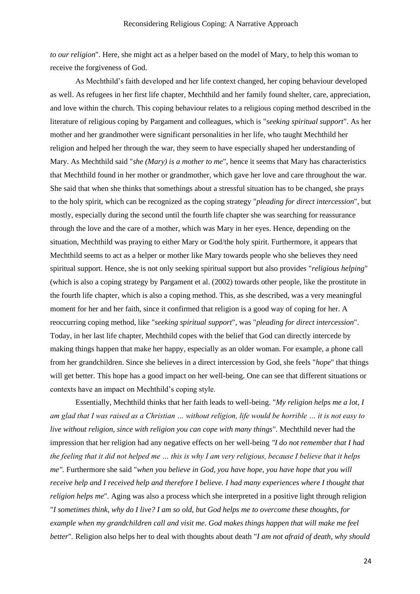*to our religion*"*.* Here, she might act as a helper based on the model of Mary, to help this woman to receive the forgiveness of God.

As Mechthild's faith developed and her life context changed, her coping behaviour developed as well. As refugees in her first life chapter, Mechthild and her family found shelter, care, appreciation, and love within the church. This coping behaviour relates to a religious coping method described in the literature of religious coping by Pargament and colleagues, which is "*seeking spiritual support*". As her mother and her grandmother were significant personalities in her life, who taught Mechthild her religion and helped her through the war, they seem to have especially shaped her understanding of Mary. As Mechthild said "*she (Mary) is a mother to me*", hence it seems that Mary has characteristics that Mechthild found in her mother or grandmother, which gave her love and care throughout the war. She said that when she thinks that somethings about a stressful situation has to be changed, she prays to the holy spirit, which can be recognized as the coping strategy "*pleading for direct intercession*"*,* but mostly, especially during the second until the fourth life chapter she was searching for reassurance through the love and the care of a mother, which was Mary in her eyes. Hence, depending on the situation, Mechthild was praying to either Mary or God/the holy spirit. Furthermore, it appears that Mechthild seems to act as a helper or mother like Mary towards people who she believes they need spiritual support. Hence, she is not only seeking spiritual support but also provides "*religious helping*" (which is also a coping strategy by Pargament et al. (2002) towards other people, like the prostitute in the fourth life chapter, which is also a coping method. This, as she described, was a very meaningful moment for her and her faith, since it confirmed that religion is a good way of coping for her. A reoccurring coping method, like "*seeking spiritual support*", was "*pleading for direct intercession*". Today, in her last life chapter, Mechthild copes with the belief that God can directly intercede by making things happen that make her happy, especially as an older woman. For example, a phone call from her grandchildren. Since she believes in a direct intercession by God, she feels "*hope*" that things will get better. This hope has a good impact on her well-being. One can see that different situations or contexts have an impact on Mechthild's coping style.

Essentially, Mechthild thinks that her faith leads to well-being. "*My religion helps me a lot, I am glad that I was raised as a Christian … without religion, life would be horrible … it is not easy to live without religion, since with religion you can cope with many things*"*.* Mechthild never had the impression that her religion had any negative effects on her well-being *"I do not remember that I had the feeling that it did not helped me … this is why I am very religious, because I believe that it helps me".* Furthermore she said "*when you believe in God, you have hope, you have hope that you will receive help and I received help and therefore I believe. I had many experiences where I thought that religion helps me*"*.* Aging was also a process which she interpreted in a positive light through religion "*I sometimes think, why do I live? I am so old, but God helps me to overcome these thoughts, for example when my grandchildren call and visit me. God makes things happen that will make me feel better*"*.* Religion also helps her to deal with thoughts about death "*I am not afraid of death, why should*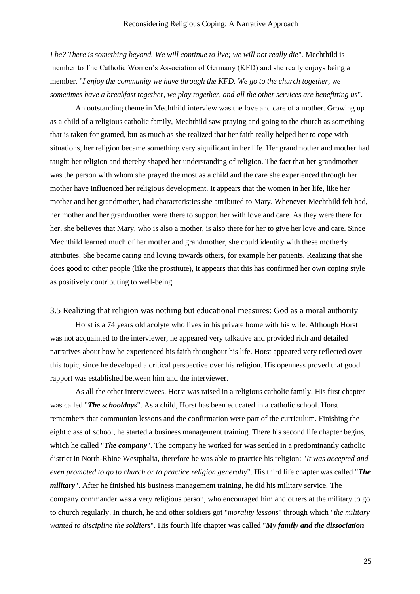*I be? There is something beyond. We will continue to live; we will not really die*"*.* Mechthild is member to The Catholic Women's Association of Germany (KFD) and she really enjoys being a member. "*I enjoy the community we have through the KFD. We go to the church together, we sometimes have a breakfast together, we play together, and all the other services are benefitting us*".

An outstanding theme in Mechthild interview was the love and care of a mother. Growing up as a child of a religious catholic family, Mechthild saw praying and going to the church as something that is taken for granted, but as much as she realized that her faith really helped her to cope with situations, her religion became something very significant in her life. Her grandmother and mother had taught her religion and thereby shaped her understanding of religion. The fact that her grandmother was the person with whom she prayed the most as a child and the care she experienced through her mother have influenced her religious development. It appears that the women in her life, like her mother and her grandmother, had characteristics she attributed to Mary. Whenever Mechthild felt bad, her mother and her grandmother were there to support her with love and care. As they were there for her, she believes that Mary, who is also a mother, is also there for her to give her love and care. Since Mechthild learned much of her mother and grandmother, she could identify with these motherly attributes. She became caring and loving towards others, for example her patients. Realizing that she does good to other people (like the prostitute), it appears that this has confirmed her own coping style as positively contributing to well-being.

<span id="page-25-0"></span>3.5 Realizing that religion was nothing but educational measures: God as a moral authority

Horst is a 74 years old acolyte who lives in his private home with his wife. Although Horst was not acquainted to the interviewer, he appeared very talkative and provided rich and detailed narratives about how he experienced his faith throughout his life. Horst appeared very reflected over this topic, since he developed a critical perspective over his religion. His openness proved that good rapport was established between him and the interviewer.

As all the other interviewees, Horst was raised in a religious catholic family. His first chapter was called "*The schooldays*". As a child, Horst has been educated in a catholic school. Horst remembers that communion lessons and the confirmation were part of the curriculum. Finishing the eight class of school, he started a business management training. There his second life chapter begins, which he called "*The company*". The company he worked for was settled in a predominantly catholic district in North-Rhine Westphalia, therefore he was able to practice his religion: "*It was accepted and even promoted to go to church or to practice religion generally*". His third life chapter was called "*The military*". After he finished his business management training, he did his military service. The company commander was a very religious person, who encouraged him and others at the military to go to church regularly. In church, he and other soldiers got "*morality lessons*" through which "*the military wanted to discipline the soldiers*". His fourth life chapter was called "*My family and the dissociation*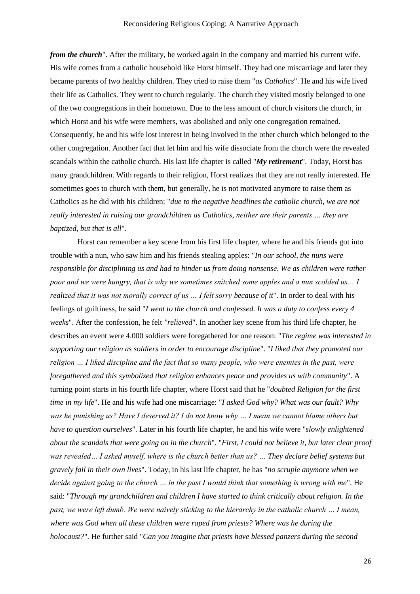*from the church*". After the military, he worked again in the company and married his current wife. His wife comes from a catholic household like Horst himself. They had one miscarriage and later they became parents of two healthy children. They tried to raise them "*as Catholics*". He and his wife lived their life as Catholics. They went to church regularly. The church they visited mostly belonged to one of the two congregations in their hometown. Due to the less amount of church visitors the church, in which Horst and his wife were members, was abolished and only one congregation remained. Consequently, he and his wife lost interest in being involved in the other church which belonged to the other congregation. Another fact that let him and his wife dissociate from the church were the revealed scandals within the catholic church. His last life chapter is called "*My retirement*". Today, Horst has many grandchildren. With regards to their religion, Horst realizes that they are not really interested. He sometimes goes to church with them, but generally, he is not motivated anymore to raise them as Catholics as he did with his children: "*due to the negative headlines the catholic church, we are not really interested in raising our grandchildren as Catholics, neither are their parents … they are baptized, but that is all*".

Horst can remember a key scene from his first life chapter, where he and his friends got into trouble with a nun, who saw him and his friends stealing apples: "*In our school, the nuns were responsible for disciplining us and had to hinder us from doing nonsense. We as children were rather poor and we were hungry, that is why we sometimes snitched some apples and a nun scolded us… I realized that it was not morally correct of us … I felt sorry because of it*". In order to deal with his feelings of guiltiness, he said "*I went to the church and confessed. It was a duty to confess every 4 weeks*". After the confession, he felt *"relieved*". In another key scene from his third life chapter, he describes an event were 4.000 soldiers were foregathered for one reason: "*The regime was interested in supporting our religion as soldiers in order to encourage discipline*". "*I liked that they promoted our religion … I liked discipline and the fact that so many people, who were enemies in the past, were foregathered and this symbolized that religion enhances peace and provides us with community*". A turning point starts in his fourth life chapter, where Horst said that he "*doubted Religion for the first time in my life*". He and his wife had one miscarriage: "*I asked God why? What was our fault? Why was he punishing us? Have I deserved it? I do not know why … I mean we cannot blame others but have to question ourselves*". Later in his fourth life chapter, he and his wife were "*slowly enlightened about the scandals that were going on in the church*". "*First, I could not believe it, but later clear proof was revealed… I asked myself, where is the church better than us? … They declare belief systems but gravely fail in their own lives*". Today, in his last life chapter, he has "*no scruple anymore when we decide against going to the church … in the past I would think that something is wrong with me*". He said: "*Through my grandchildren and children I have started to think critically about religion. In the past, we were left dumb. We were naively sticking to the hierarchy in the catholic church … I mean, where was God when all these children were raped from priests? Where was he during the holocaust?*"*.* He further said "*Can you imagine that priests have blessed panzers during the second*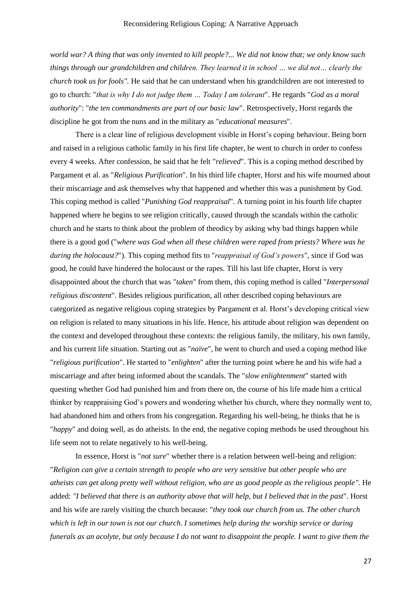*world war? A thing that was only invented to kill people?... We did not know that; we only know such things through our grandchildren and children. They learned it in school … we did not… clearly the church took us for fools".* He said that he can understand when his grandchildren are not interested to go to church: "*that is why I do not judge them … Today I am tolerant*". He regards "*God as a moral authority*": "*the ten commandments are part of our basic law*". Retrospectively, Horst regards the discipline he got from the nuns and in the military as "*educational measures*".

There is a clear line of religious development visible in Horst's coping behaviour. Being born and raised in a religious catholic family in his first life chapter, he went to church in order to confess every 4 weeks. After confession, he said that he felt "*relieved*". This is a coping method described by Pargament et al. as "*Religious Purification*". In his third life chapter, Horst and his wife mourned about their miscarriage and ask themselves why that happened and whether this was a punishment by God. This coping method is called "*Punishing God reappraisal*". A turning point in his fourth life chapter happened where he begins to see religion critically, caused through the scandals within the catholic church and he starts to think about the problem of theodicy by asking why bad things happen while there is a good god ("*where was God when all these children were raped from priests? Where was he during the holocaust?*")*.* This coping method fits to "*reappraisal of God's powers*", since if God was good, he could have hindered the holocaust or the rapes. Till his last life chapter, Horst is very disappointed about the church that was "*taken*" from them, this coping method is called "*Interpersonal religious discontent*". Besides religious purification, all other described coping behaviours are categorized as negative religious coping strategies by Pargament et al. Horst's developing critical view on religion is related to many situations in his life. Hence, his attitude about religion was dependent on the context and developed throughout these contexts: the religious family, the military, his own family, and his current life situation. Starting out as "*naïve*", he went to church and used a coping method like "*religious purification*". He started to "*enlighten*" after the turning point where he and his wife had a miscarriage and after being informed about the scandals. The "*slow enlightenment*" started with questing whether God had punished him and from there on, the course of his life made him a critical thinker by reappraising God's powers and wondering whether his church, where they normally went to, had abandoned him and others from his congregation. Regarding his well-being, he thinks that he is "*happy*" and doing well, as do atheists. In the end, the negative coping methods he used throughout his life seem not to relate negatively to his well-being.

In essence, Horst is "*not sure*" whether there is a relation between well-being and religion: "*Religion can give a certain strength to people who are very sensitive but other people who are atheists can get along pretty well without religion, who are as good people as the religious people"*. He added: *"I believed that there is an authority above that will help, but I believed that in the past*". Horst and his wife are rarely visiting the church because: "*they took our church from us. The other church which is left in our town is not our church. I sometimes help during the worship service or during funerals as an acolyte, but only because I do not want to disappoint the people. I want to give them the*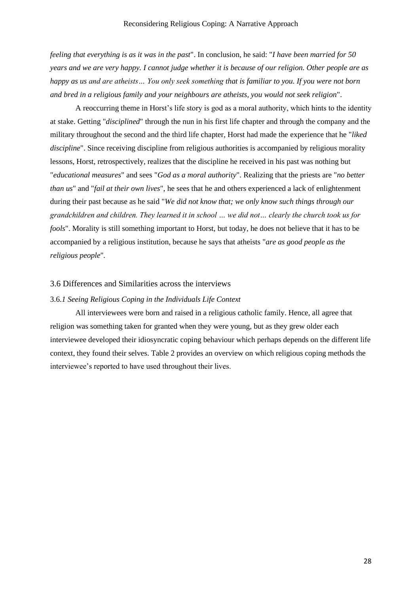*feeling that everything is as it was in the past*". In conclusion, he said: "*I have been married for 50 years and we are very happy. I cannot judge whether it is because of our religion. Other people are as happy as us and are atheists… You only seek something that is familiar to you. If you were not born and bred in a religious family and your neighbours are atheists, you would not seek religion*".

A reoccurring theme in Horst's life story is god as a moral authority, which hints to the identity at stake. Getting "*disciplined*" through the nun in his first life chapter and through the company and the military throughout the second and the third life chapter, Horst had made the experience that he "*liked discipline*". Since receiving discipline from religious authorities is accompanied by religious morality lessons, Horst, retrospectively, realizes that the discipline he received in his past was nothing but "*educational measures*" and sees "*God as a moral authority*". Realizing that the priests are "*no better than us*" and "*fail at their own lives*", he sees that he and others experienced a lack of enlightenment during their past because as he said "*We did not know that; we only know such things through our grandchildren and children. They learned it in school … we did not… clearly the church took us for fools*". Morality is still something important to Horst, but today, he does not believe that it has to be accompanied by a religious institution, because he says that atheists "*are as good people as the religious people*"*.*

#### <span id="page-28-0"></span>3.6 Differences and Similarities across the interviews

#### 3.6.*1 Seeing Religious Coping in the Individuals Life Context*

All interviewees were born and raised in a religious catholic family. Hence, all agree that religion was something taken for granted when they were young, but as they grew older each interviewee developed their idiosyncratic coping behaviour which perhaps depends on the different life context, they found their selves. Table 2 provides an overview on which religious coping methods the interviewee's reported to have used throughout their lives.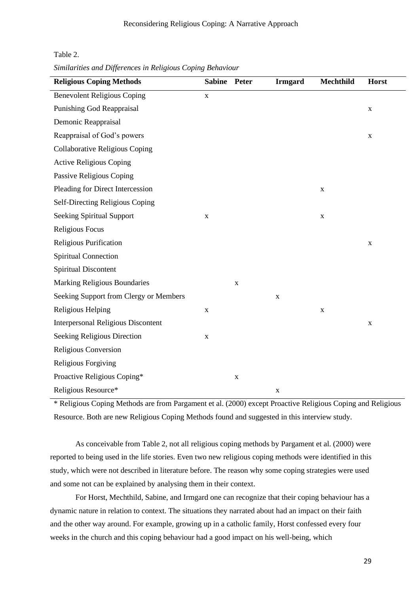| able |  |
|------|--|
|------|--|

| Similarities and Differences in Religious Coping Behaviour |  |  |  |
|------------------------------------------------------------|--|--|--|
|------------------------------------------------------------|--|--|--|

| <b>Religious Coping Methods</b>           | Sabine Peter |             | <b>Irmgard</b> | Mechthild   | <b>Horst</b> |
|-------------------------------------------|--------------|-------------|----------------|-------------|--------------|
| <b>Benevolent Religious Coping</b>        | $\mathbf X$  |             |                |             |              |
| Punishing God Reappraisal                 |              |             |                |             | $\mathbf X$  |
| Demonic Reappraisal                       |              |             |                |             |              |
| Reappraisal of God's powers               |              |             |                |             | $\mathbf X$  |
| <b>Collaborative Religious Coping</b>     |              |             |                |             |              |
| <b>Active Religious Coping</b>            |              |             |                |             |              |
| Passive Religious Coping                  |              |             |                |             |              |
| Pleading for Direct Intercession          |              |             |                | $\mathbf X$ |              |
| Self-Directing Religious Coping           |              |             |                |             |              |
| <b>Seeking Spiritual Support</b>          | $\mathbf X$  |             |                | $\mathbf X$ |              |
| Religious Focus                           |              |             |                |             |              |
| <b>Religious Purification</b>             |              |             |                |             | $\mathbf X$  |
| <b>Spiritual Connection</b>               |              |             |                |             |              |
| Spiritual Discontent                      |              |             |                |             |              |
| <b>Marking Religious Boundaries</b>       |              | $\mathbf X$ |                |             |              |
| Seeking Support from Clergy or Members    |              |             | $\mathbf X$    |             |              |
| Religious Helping                         | $\mathbf X$  |             |                | $\mathbf X$ |              |
| <b>Interpersonal Religious Discontent</b> |              |             |                |             | $\mathbf X$  |
| Seeking Religious Direction               | $\mathbf X$  |             |                |             |              |
| Religious Conversion                      |              |             |                |             |              |
| Religious Forgiving                       |              |             |                |             |              |
| Proactive Religious Coping*               |              | $\mathbf X$ |                |             |              |
| Religious Resource*                       |              |             | $\mathbf X$    |             |              |

\* Religious Coping Methods are from Pargament et al. (2000) except Proactive Religious Coping and Religious Resource. Both are new Religious Coping Methods found and suggested in this interview study.

As conceivable from Table 2, not all religious coping methods by Pargament et al. (2000) were reported to being used in the life stories. Even two new religious coping methods were identified in this study, which were not described in literature before. The reason why some coping strategies were used and some not can be explained by analysing them in their context.

For Horst, Mechthild, Sabine, and Irmgard one can recognize that their coping behaviour has a dynamic nature in relation to context. The situations they narrated about had an impact on their faith and the other way around. For example, growing up in a catholic family, Horst confessed every four weeks in the church and this coping behaviour had a good impact on his well-being, which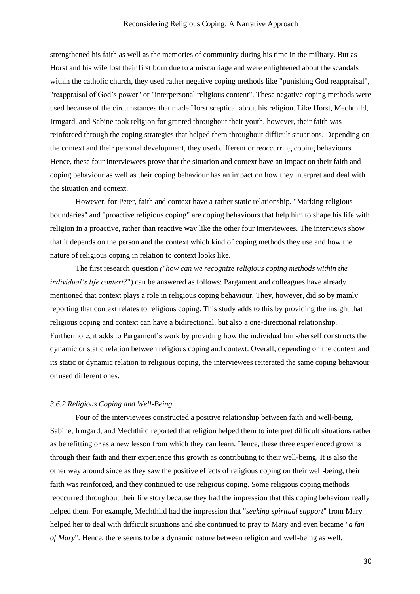strengthened his faith as well as the memories of community during his time in the military. But as Horst and his wife lost their first born due to a miscarriage and were enlightened about the scandals within the catholic church, they used rather negative coping methods like "punishing God reappraisal", "reappraisal of God's power" or "interpersonal religious content". These negative coping methods were used because of the circumstances that made Horst sceptical about his religion. Like Horst, Mechthild, Irmgard, and Sabine took religion for granted throughout their youth, however, their faith was reinforced through the coping strategies that helped them throughout difficult situations. Depending on the context and their personal development, they used different or reoccurring coping behaviours. Hence, these four interviewees prove that the situation and context have an impact on their faith and coping behaviour as well as their coping behaviour has an impact on how they interpret and deal with the situation and context.

However, for Peter, faith and context have a rather static relationship. "Marking religious boundaries" and "proactive religious coping" are coping behaviours that help him to shape his life with religion in a proactive, rather than reactive way like the other four interviewees. The interviews show that it depends on the person and the context which kind of coping methods they use and how the nature of religious coping in relation to context looks like.

The first research question *(*"*how can we recognize religious coping methods within the individual's life context?*") can be answered as follows: Pargament and colleagues have already mentioned that context plays a role in religious coping behaviour. They, however, did so by mainly reporting that context relates to religious coping. This study adds to this by providing the insight that religious coping and context can have a bidirectional, but also a one-directional relationship. Furthermore, it adds to Pargament's work by providing how the individual him-/herself constructs the dynamic or static relation between religious coping and context. Overall, depending on the context and its static or dynamic relation to religious coping, the interviewees reiterated the same coping behaviour or used different ones.

#### *3.6.2 Religious Coping and Well-Being*

Four of the interviewees constructed a positive relationship between faith and well-being. Sabine, Irmgard, and Mechthild reported that religion helped them to interpret difficult situations rather as benefitting or as a new lesson from which they can learn. Hence, these three experienced growths through their faith and their experience this growth as contributing to their well-being. It is also the other way around since as they saw the positive effects of religious coping on their well-being, their faith was reinforced, and they continued to use religious coping. Some religious coping methods reoccurred throughout their life story because they had the impression that this coping behaviour really helped them. For example, Mechthild had the impression that "*seeking spiritual support*" from Mary helped her to deal with difficult situations and she continued to pray to Mary and even became "*a fan of Mary*". Hence, there seems to be a dynamic nature between religion and well-being as well.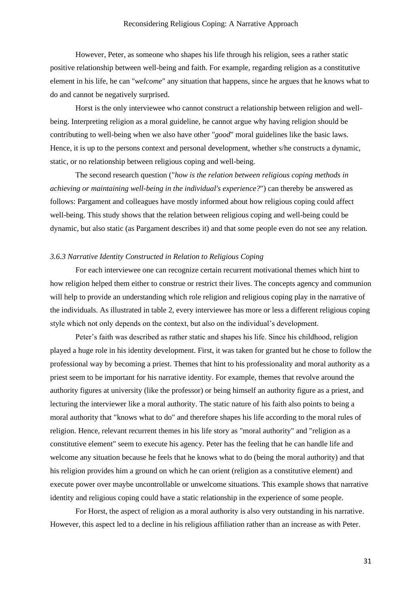However, Peter, as someone who shapes his life through his religion, sees a rather static positive relationship between well-being and faith. For example, regarding religion as a constitutive element in his life, he can "*welcome*" any situation that happens, since he argues that he knows what to do and cannot be negatively surprised.

Horst is the only interviewee who cannot construct a relationship between religion and wellbeing. Interpreting religion as a moral guideline, he cannot argue why having religion should be contributing to well-being when we also have other "*good*" moral guidelines like the basic laws. Hence, it is up to the persons context and personal development, whether s/he constructs a dynamic, static, or no relationship between religious coping and well-being.

The second research question ("*how is the relation between religious coping methods in achieving or maintaining well-being in the individual's experience?*") can thereby be answered as follows: Pargament and colleagues have mostly informed about how religious coping could affect well-being. This study shows that the relation between religious coping and well-being could be dynamic, but also static (as Pargament describes it) and that some people even do not see any relation.

#### *3.6.3 Narrative Identity Constructed in Relation to Religious Coping*

For each interviewee one can recognize certain recurrent motivational themes which hint to how religion helped them either to construe or restrict their lives. The concepts agency and communion will help to provide an understanding which role religion and religious coping play in the narrative of the individuals. As illustrated in table 2, every interviewee has more or less a different religious coping style which not only depends on the context, but also on the individual's development.

Peter's faith was described as rather static and shapes his life. Since his childhood, religion played a huge role in his identity development. First, it was taken for granted but he chose to follow the professional way by becoming a priest. Themes that hint to his professionality and moral authority as a priest seem to be important for his narrative identity. For example, themes that revolve around the authority figures at university (like the professor) or being himself an authority figure as a priest, and lecturing the interviewer like a moral authority. The static nature of his faith also points to being a moral authority that "knows what to do" and therefore shapes his life according to the moral rules of religion. Hence, relevant recurrent themes in his life story as "moral authority" and "religion as a constitutive element" seem to execute his agency. Peter has the feeling that he can handle life and welcome any situation because he feels that he knows what to do (being the moral authority) and that his religion provides him a ground on which he can orient (religion as a constitutive element) and execute power over maybe uncontrollable or unwelcome situations. This example shows that narrative identity and religious coping could have a static relationship in the experience of some people.

For Horst, the aspect of religion as a moral authority is also very outstanding in his narrative. However, this aspect led to a decline in his religious affiliation rather than an increase as with Peter.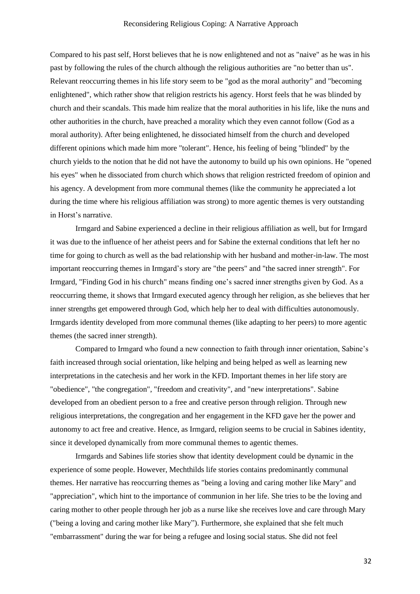Compared to his past self, Horst believes that he is now enlightened and not as "naive" as he was in his past by following the rules of the church although the religious authorities are "no better than us". Relevant reoccurring themes in his life story seem to be "god as the moral authority" and "becoming enlightened", which rather show that religion restricts his agency. Horst feels that he was blinded by church and their scandals. This made him realize that the moral authorities in his life, like the nuns and other authorities in the church, have preached a morality which they even cannot follow (God as a moral authority). After being enlightened, he dissociated himself from the church and developed different opinions which made him more "tolerant". Hence, his feeling of being "blinded" by the church yields to the notion that he did not have the autonomy to build up his own opinions. He "opened his eyes" when he dissociated from church which shows that religion restricted freedom of opinion and his agency. A development from more communal themes (like the community he appreciated a lot during the time where his religious affiliation was strong) to more agentic themes is very outstanding in Horst's narrative.

Irmgard and Sabine experienced a decline in their religious affiliation as well, but for Irmgard it was due to the influence of her atheist peers and for Sabine the external conditions that left her no time for going to church as well as the bad relationship with her husband and mother-in-law. The most important reoccurring themes in Irmgard's story are "the peers" and "the sacred inner strength". For Irmgard, "Finding God in his church" means finding one's sacred inner strengths given by God. As a reoccurring theme, it shows that Irmgard executed agency through her religion, as she believes that her inner strengths get empowered through God, which help her to deal with difficulties autonomously. Irmgards identity developed from more communal themes (like adapting to her peers) to more agentic themes (the sacred inner strength).

Compared to Irmgard who found a new connection to faith through inner orientation, Sabine's faith increased through social orientation, like helping and being helped as well as learning new interpretations in the catechesis and her work in the KFD. Important themes in her life story are "obedience", "the congregation", "freedom and creativity", and "new interpretations". Sabine developed from an obedient person to a free and creative person through religion. Through new religious interpretations, the congregation and her engagement in the KFD gave her the power and autonomy to act free and creative. Hence, as Irmgard, religion seems to be crucial in Sabines identity, since it developed dynamically from more communal themes to agentic themes.

Irmgards and Sabines life stories show that identity development could be dynamic in the experience of some people. However, Mechthilds life stories contains predominantly communal themes. Her narrative has reoccurring themes as "being a loving and caring mother like Mary" and "appreciation", which hint to the importance of communion in her life. She tries to be the loving and caring mother to other people through her job as a nurse like she receives love and care through Mary ("being a loving and caring mother like Mary"). Furthermore, she explained that she felt much "embarrassment" during the war for being a refugee and losing social status. She did not feel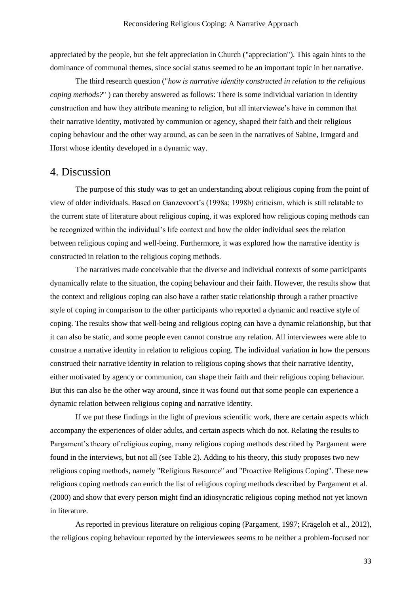appreciated by the people, but she felt appreciation in Church ("appreciation"). This again hints to the dominance of communal themes, since social status seemed to be an important topic in her narrative.

The third research question ("*how is narrative identity constructed in relation to the religious coping methods?*" ) can thereby answered as follows: There is some individual variation in identity construction and how they attribute meaning to religion, but all interviewee's have in common that their narrative identity, motivated by communion or agency, shaped their faith and their religious coping behaviour and the other way around, as can be seen in the narratives of Sabine, Irmgard and Horst whose identity developed in a dynamic way.

### <span id="page-33-0"></span>4. Discussion

The purpose of this study was to get an understanding about religious coping from the point of view of older individuals. Based on Ganzevoort's (1998a; 1998b) criticism, which is still relatable to the current state of literature about religious coping, it was explored how religious coping methods can be recognized within the individual's life context and how the older individual sees the relation between religious coping and well-being. Furthermore, it was explored how the narrative identity is constructed in relation to the religious coping methods.

The narratives made conceivable that the diverse and individual contexts of some participants dynamically relate to the situation, the coping behaviour and their faith. However, the results show that the context and religious coping can also have a rather static relationship through a rather proactive style of coping in comparison to the other participants who reported a dynamic and reactive style of coping. The results show that well-being and religious coping can have a dynamic relationship, but that it can also be static, and some people even cannot construe any relation. All interviewees were able to construe a narrative identity in relation to religious coping. The individual variation in how the persons construed their narrative identity in relation to religious coping shows that their narrative identity, either motivated by agency or communion, can shape their faith and their religious coping behaviour. But this can also be the other way around, since it was found out that some people can experience a dynamic relation between religious coping and narrative identity.

If we put these findings in the light of previous scientific work, there are certain aspects which accompany the experiences of older adults, and certain aspects which do not. Relating the results to Pargament's theory of religious coping, many religious coping methods described by Pargament were found in the interviews, but not all (see Table 2). Adding to his theory, this study proposes two new religious coping methods, namely "Religious Resource" and "Proactive Religious Coping". These new religious coping methods can enrich the list of religious coping methods described by Pargament et al. (2000) and show that every person might find an idiosyncratic religious coping method not yet known in literature.

As reported in previous literature on religious coping (Pargament, 1997; Krägeloh et al., 2012), the religious coping behaviour reported by the interviewees seems to be neither a problem-focused nor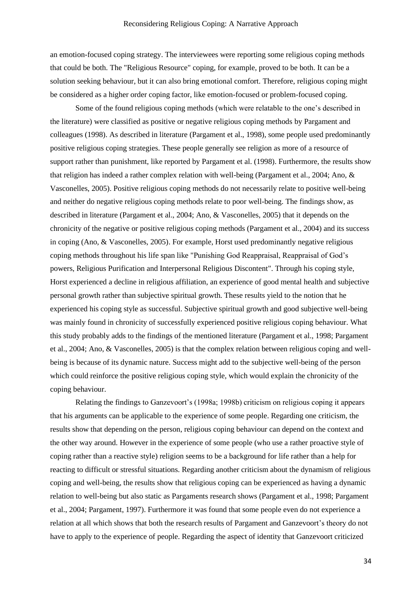an emotion-focused coping strategy. The interviewees were reporting some religious coping methods that could be both. The "Religious Resource" coping, for example, proved to be both. It can be a solution seeking behaviour, but it can also bring emotional comfort. Therefore, religious coping might be considered as a higher order coping factor, like emotion-focused or problem-focused coping.

Some of the found religious coping methods (which were relatable to the one's described in the literature) were classified as positive or negative religious coping methods by Pargament and colleagues (1998). As described in literature (Pargament et al., 1998), some people used predominantly positive religious coping strategies. These people generally see religion as more of a resource of support rather than punishment, like reported by Pargament et al. (1998). Furthermore, the results show that religion has indeed a rather complex relation with well-being (Pargament et al., 2004; Ano, & Vasconelles, 2005). Positive religious coping methods do not necessarily relate to positive well-being and neither do negative religious coping methods relate to poor well-being. The findings show, as described in literature (Pargament et al., 2004; Ano, & Vasconelles, 2005) that it depends on the chronicity of the negative or positive religious coping methods (Pargament et al., 2004) and its success in coping (Ano, & Vasconelles, 2005). For example, Horst used predominantly negative religious coping methods throughout his life span like "Punishing God Reappraisal, Reappraisal of God's powers, Religious Purification and Interpersonal Religious Discontent". Through his coping style, Horst experienced a decline in religious affiliation, an experience of good mental health and subjective personal growth rather than subjective spiritual growth. These results yield to the notion that he experienced his coping style as successful. Subjective spiritual growth and good subjective well-being was mainly found in chronicity of successfully experienced positive religious coping behaviour. What this study probably adds to the findings of the mentioned literature (Pargament et al., 1998; Pargament et al., 2004; Ano, & Vasconelles, 2005) is that the complex relation between religious coping and wellbeing is because of its dynamic nature. Success might add to the subjective well-being of the person which could reinforce the positive religious coping style, which would explain the chronicity of the coping behaviour.

Relating the findings to Ganzevoort's (1998a; 1998b) criticism on religious coping it appears that his arguments can be applicable to the experience of some people. Regarding one criticism, the results show that depending on the person, religious coping behaviour can depend on the context and the other way around. However in the experience of some people (who use a rather proactive style of coping rather than a reactive style) religion seems to be a background for life rather than a help for reacting to difficult or stressful situations. Regarding another criticism about the dynamism of religious coping and well-being, the results show that religious coping can be experienced as having a dynamic relation to well-being but also static as Pargaments research shows (Pargament et al., 1998; Pargament et al., 2004; Pargament, 1997). Furthermore it was found that some people even do not experience a relation at all which shows that both the research results of Pargament and Ganzevoort's theory do not have to apply to the experience of people. Regarding the aspect of identity that Ganzevoort criticized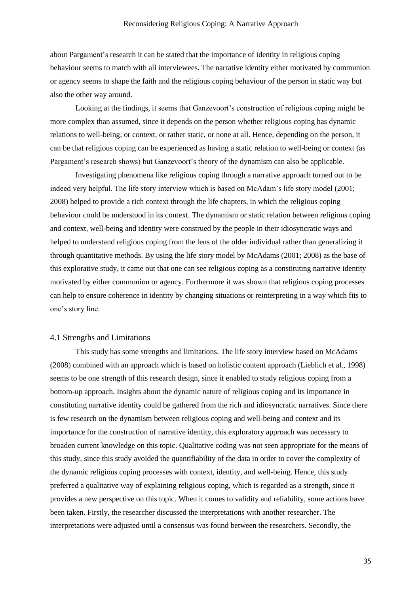about Pargament's research it can be stated that the importance of identity in religious coping behaviour seems to match with all interviewees. The narrative identity either motivated by communion or agency seems to shape the faith and the religious coping behaviour of the person in static way but also the other way around.

Looking at the findings, it seems that Ganzevoort's construction of religious coping might be more complex than assumed, since it depends on the person whether religious coping has dynamic relations to well-being, or context, or rather static, or none at all. Hence, depending on the person, it can be that religious coping can be experienced as having a static relation to well-being or context (as Pargament's research shows) but Ganzevoort's theory of the dynamism can also be applicable.

Investigating phenomena like religious coping through a narrative approach turned out to be indeed very helpful. The life story interview which is based on McAdam's life story model (2001; 2008) helped to provide a rich context through the life chapters, in which the religious coping behaviour could be understood in its context. The dynamism or static relation between religious coping and context, well-being and identity were construed by the people in their idiosyncratic ways and helped to understand religious coping from the lens of the older individual rather than generalizing it through quantitative methods. By using the life story model by McAdams (2001; 2008) as the base of this explorative study, it came out that one can see religious coping as a constituting narrative identity motivated by either communion or agency. Furthermore it was shown that religious coping processes can help to ensure coherence in identity by changing situations or reinterpreting in a way which fits to one's story line.

#### <span id="page-35-0"></span>4.1 Strengths and Limitations

This study has some strengths and limitations. The life story interview based on McAdams (2008) combined with an approach which is based on holistic content approach (Lieblich et al., 1998) seems to be one strength of this research design, since it enabled to study religious coping from a bottom-up approach. Insights about the dynamic nature of religious coping and its importance in constituting narrative identity could be gathered from the rich and idiosyncratic narratives. Since there is few research on the dynamism between religious coping and well-being and context and its importance for the construction of narrative identity, this exploratory approach was necessary to broaden current knowledge on this topic. Qualitative coding was not seen appropriate for the means of this study, since this study avoided the quantifiability of the data in order to cover the complexity of the dynamic religious coping processes with context, identity, and well-being. Hence, this study preferred a qualitative way of explaining religious coping, which is regarded as a strength, since it provides a new perspective on this topic. When it comes to validity and reliability, some actions have been taken. Firstly, the researcher discussed the interpretations with another researcher. The interpretations were adjusted until a consensus was found between the researchers. Secondly, the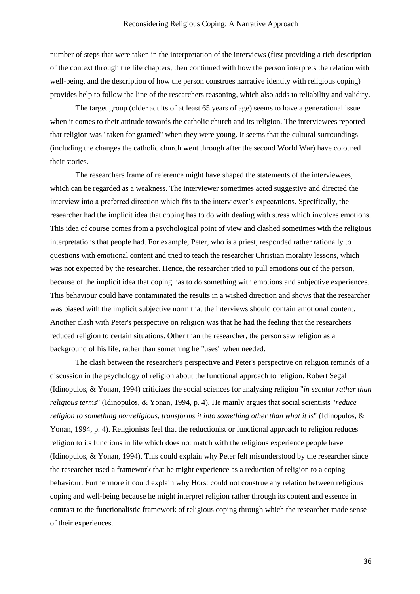number of steps that were taken in the interpretation of the interviews (first providing a rich description of the context through the life chapters, then continued with how the person interprets the relation with well-being, and the description of how the person construes narrative identity with religious coping) provides help to follow the line of the researchers reasoning, which also adds to reliability and validity.

The target group (older adults of at least 65 years of age) seems to have a generational issue when it comes to their attitude towards the catholic church and its religion. The interviewees reported that religion was "taken for granted" when they were young. It seems that the cultural surroundings (including the changes the catholic church went through after the second World War) have coloured their stories.

The researchers frame of reference might have shaped the statements of the interviewees, which can be regarded as a weakness. The interviewer sometimes acted suggestive and directed the interview into a preferred direction which fits to the interviewer's expectations. Specifically, the researcher had the implicit idea that coping has to do with dealing with stress which involves emotions. This idea of course comes from a psychological point of view and clashed sometimes with the religious interpretations that people had. For example, Peter, who is a priest, responded rather rationally to questions with emotional content and tried to teach the researcher Christian morality lessons, which was not expected by the researcher. Hence, the researcher tried to pull emotions out of the person, because of the implicit idea that coping has to do something with emotions and subjective experiences. This behaviour could have contaminated the results in a wished direction and shows that the researcher was biased with the implicit subjective norm that the interviews should contain emotional content. Another clash with Peter's perspective on religion was that he had the feeling that the researchers reduced religion to certain situations. Other than the researcher, the person saw religion as a background of his life, rather than something he "uses" when needed.

The clash between the researcher's perspective and Peter's perspective on religion reminds of a discussion in the psychology of religion about the functional approach to religion. Robert Segal (Idinopulos, & Yonan, 1994) criticizes the social sciences for analysing religion "*in secular rather than religious terms*" (Idinopulos, & Yonan, 1994, p. 4). He mainly argues that social scientists "*reduce religion to something nonreligious, transforms it into something other than what it is*" (Idinopulos, & Yonan, 1994, p. 4). Religionists feel that the reductionist or functional approach to religion reduces religion to its functions in life which does not match with the religious experience people have (Idinopulos, & Yonan, 1994). This could explain why Peter felt misunderstood by the researcher since the researcher used a framework that he might experience as a reduction of religion to a coping behaviour. Furthermore it could explain why Horst could not construe any relation between religious coping and well-being because he might interpret religion rather through its content and essence in contrast to the functionalistic framework of religious coping through which the researcher made sense of their experiences.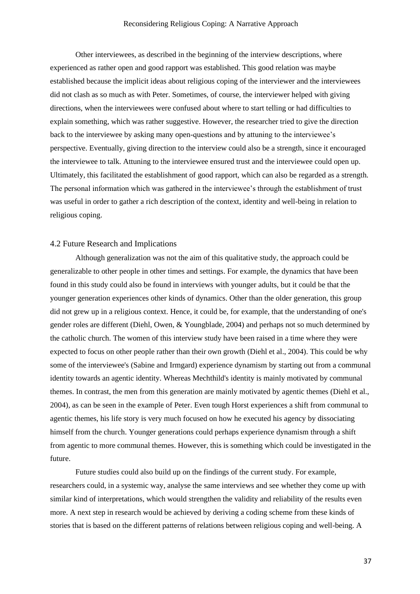Other interviewees, as described in the beginning of the interview descriptions, where experienced as rather open and good rapport was established. This good relation was maybe established because the implicit ideas about religious coping of the interviewer and the interviewees did not clash as so much as with Peter. Sometimes, of course, the interviewer helped with giving directions, when the interviewees were confused about where to start telling or had difficulties to explain something, which was rather suggestive. However, the researcher tried to give the direction back to the interviewee by asking many open-questions and by attuning to the interviewee's perspective. Eventually, giving direction to the interview could also be a strength, since it encouraged the interviewee to talk. Attuning to the interviewee ensured trust and the interviewee could open up. Ultimately, this facilitated the establishment of good rapport, which can also be regarded as a strength. The personal information which was gathered in the interviewee's through the establishment of trust was useful in order to gather a rich description of the context, identity and well-being in relation to religious coping.

#### <span id="page-37-0"></span>4.2 Future Research and Implications

Although generalization was not the aim of this qualitative study, the approach could be generalizable to other people in other times and settings. For example, the dynamics that have been found in this study could also be found in interviews with younger adults, but it could be that the younger generation experiences other kinds of dynamics. Other than the older generation, this group did not grew up in a religious context. Hence, it could be, for example, that the understanding of one's gender roles are different (Diehl, Owen, & Youngblade, 2004) and perhaps not so much determined by the catholic church. The women of this interview study have been raised in a time where they were expected to focus on other people rather than their own growth (Diehl et al., 2004). This could be why some of the interviewee's (Sabine and Irmgard) experience dynamism by starting out from a communal identity towards an agentic identity. Whereas Mechthild's identity is mainly motivated by communal themes. In contrast, the men from this generation are mainly motivated by agentic themes (Diehl et al., 2004), as can be seen in the example of Peter. Even tough Horst experiences a shift from communal to agentic themes, his life story is very much focused on how he executed his agency by dissociating himself from the church. Younger generations could perhaps experience dynamism through a shift from agentic to more communal themes. However, this is something which could be investigated in the future.

Future studies could also build up on the findings of the current study. For example, researchers could, in a systemic way, analyse the same interviews and see whether they come up with similar kind of interpretations, which would strengthen the validity and reliability of the results even more. A next step in research would be achieved by deriving a coding scheme from these kinds of stories that is based on the different patterns of relations between religious coping and well-being. A

37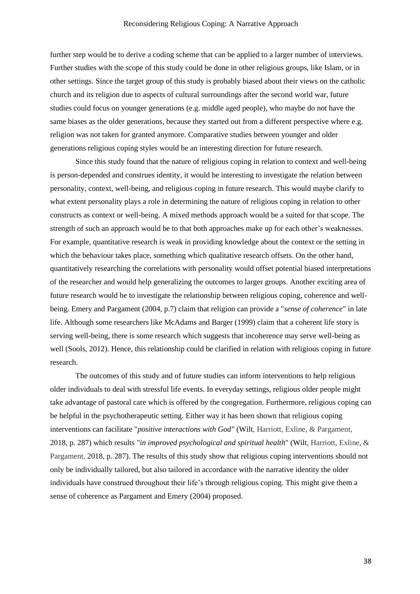further step would be to derive a coding scheme that can be applied to a larger number of interviews. Further studies with the scope of this study could be done in other religious groups, like Islam, or in other settings. Since the target group of this study is probably biased about their views on the catholic church and its religion due to aspects of cultural surroundings after the second world war, future studies could focus on younger generations (e.g. middle aged people), who maybe do not have the same biases as the older generations, because they started out from a different perspective where e.g. religion was not taken for granted anymore. Comparative studies between younger and older generations religious coping styles would be an interesting direction for future research.

Since this study found that the nature of religious coping in relation to context and well-being is person-depended and construes identity, it would be interesting to investigate the relation between personality, context, well-being, and religious coping in future research. This would maybe clarify to what extent personality plays a role in determining the nature of religious coping in relation to other constructs as context or well-being. A mixed methods approach would be a suited for that scope. The strength of such an approach would be to that both approaches make up for each other's weaknesses. For example, quantitative research is weak in providing knowledge about the context or the setting in which the behaviour takes place, something which qualitative research offsets. On the other hand, quantitatively researching the correlations with personality would offset potential biased interpretations of the researcher and would help generalizing the outcomes to larger groups. Another exciting area of future research would be to investigate the relationship between religious coping, coherence and wellbeing. Emery and Pargament (2004, p.7) claim that religion can provide a "*sense of coherence*" in late life. Although some researchers like McAdams and Barger (1999) claim that a coherent life story is serving well-being, there is some research which suggests that incoherence may serve well-being as well (Sools, 2012). Hence, this relationship could be clarified in relation with religious coping in future research.

The outcomes of this study and of future studies can inform interventions to help religious older individuals to deal with stressful life events. In everyday settings, religious older people might take advantage of pastoral care which is offered by the congregation. Furthermore, religious coping can be helpful in the psychotherapeutic setting. Either way it has been shown that religious coping interventions can facilitate "*positive interactions with God"* (Wilt, Harriott, Exline, & Pargament, 2018, p. 287) which results *"in improved psychological and spiritual health*" (Wilt, Harriott, Exline, & Pargament, 2018, p. 287). The results of this study show that religious coping interventions should not only be individually tailored, but also tailored in accordance with the narrative identity the older individuals have construed throughout their life's through religious coping. This might give them a sense of coherence as Pargament and Emery (2004) proposed.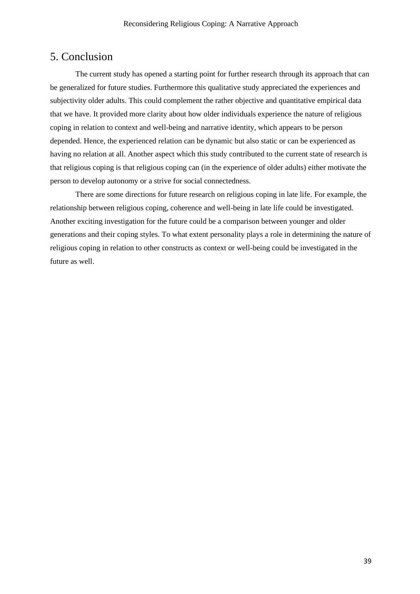## <span id="page-39-0"></span>5. Conclusion

The current study has opened a starting point for further research through its approach that can be generalized for future studies. Furthermore this qualitative study appreciated the experiences and subjectivity older adults. This could complement the rather objective and quantitative empirical data that we have. It provided more clarity about how older individuals experience the nature of religious coping in relation to context and well-being and narrative identity, which appears to be person depended. Hence, the experienced relation can be dynamic but also static or can be experienced as having no relation at all. Another aspect which this study contributed to the current state of research is that religious coping is that religious coping can (in the experience of older adults) either motivate the person to develop autonomy or a strive for social connectedness.

There are some directions for future research on religious coping in late life. For example, the relationship between religious coping, coherence and well-being in late life could be investigated. Another exciting investigation for the future could be a comparison between younger and older generations and their coping styles. To what extent personality plays a role in determining the nature of religious coping in relation to other constructs as context or well-being could be investigated in the future as well.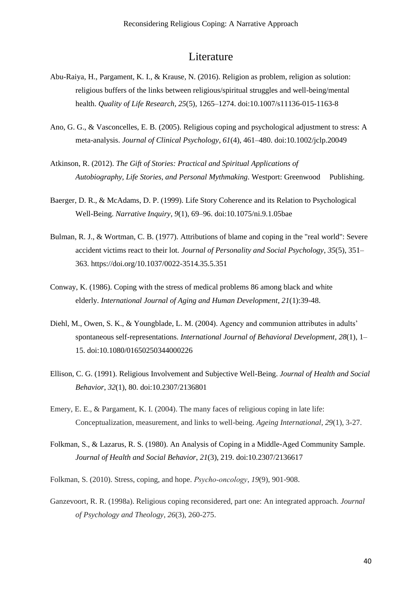## Literature

- <span id="page-40-0"></span>Abu-Raiya, H., Pargament, K. I., & Krause, N. (2016). Religion as problem, religion as solution: religious buffers of the links between religious/spiritual struggles and well-being/mental health. *Quality of Life Research, 25*(5), 1265–1274. doi:10.1007/s11136-015-1163-8
- Ano, G. G., & Vasconcelles, E. B. (2005). Religious coping and psychological adjustment to stress: A meta-analysis. *Journal of Clinical Psychology*, *61*(4), 461–480. doi:10.1002/jclp.20049
- Atkinson, R. (2012). *The Gift of Stories: Practical and Spiritual Applications of Autobiography, Life Stories, and Personal Mythmaking*. Westport: Greenwood Publishing.
- Baerger, D. R., & McAdams, D. P. (1999). Life Story Coherence and its Relation to Psychological Well-Being. *Narrative Inquiry*, *9*(1), 69–96. doi:10.1075/ni.9.1.05bae
- Bulman, R. J., & Wortman, C. B. (1977). Attributions of blame and coping in the "real world": Severe accident victims react to their lot*. Journal of Personality and Social Psychology*, *35*(5), 351– 363. https://doi.org/10.1037/0022-3514.35.5.351
- Conway, K. (1986). Coping with the stress of medical problems 86 among black and white elderly. *International Journal of Aging and Human Development*, *21*(1):39-48.
- Diehl, M., Owen, S. K., & Youngblade, L. M. (2004). Agency and communion attributes in adults' spontaneous self-representations. *International Journal of Behavioral Development*, *28*(1), 1– 15. doi:10.1080/01650250344000226
- Ellison, C. G. (1991). Religious Involvement and Subjective Well-Being. *Journal of Health and Social Behavior*, *32*(1), 80. doi:10.2307/2136801
- Emery, E. E., & Pargament, K. I. (2004). The many faces of religious coping in late life: Conceptualization, measurement, and links to well-being. *Ageing International*, *29*(1), 3-27.
- Folkman, S., & Lazarus, R. S. (1980). An Analysis of Coping in a Middle-Aged Community Sample. *Journal of Health and Social Behavior*, *21*(3), 219. doi:10.2307/2136617
- Folkman, S. (2010). Stress, coping, and hope. *Psycho‐oncology*, *19*(9), 901-908.
- Ganzevoort, R. R. (1998a). Religious coping reconsidered, part one: An integrated approach. *Journal of Psychology and Theology*, *26*(3), 260-275.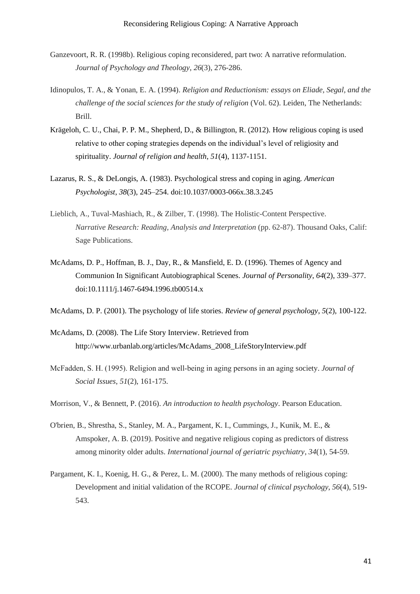- Ganzevoort, R. R. (1998b). Religious coping reconsidered, part two: A narrative reformulation. *Journal of Psychology and Theology*, *26*(3), 276-286.
- Idinopulos, T. A., & Yonan, E. A. (1994). *Religion and Reductionism: essays on Eliade, Segal, and the challenge of the social sciences for the study of religion* (Vol. 62). Leiden, The Netherlands: Brill.
- Krägeloh, C. U., Chai, P. P. M., Shepherd, D., & Billington, R. (2012). How religious coping is used relative to other coping strategies depends on the individual's level of religiosity and spirituality. *Journal of religion and health*, *51*(4), 1137-1151.
- Lazarus, R. S., & DeLongis, A. (1983). Psychological stress and coping in aging*. American Psychologist*, *38*(3), 245–254. doi:10.1037/0003-066x.38.3.245
- Lieblich, A., Tuval-Mashiach, R., & Zilber, T. (1998). The Holistic-Content Perspective. *Narrative Research: Reading, Analysis and Interpretation (pp. 62-87). Thousand Oaks, Calif:* Sage Publications.
- McAdams, D. P., Hoffman, B. J., Day, R., & Mansfield, E. D. (1996). Themes of Agency and Communion In Significant Autobiographical Scenes. *Journal of Personality*, *64*(2), 339–377. doi:10.1111/j.1467-6494.1996.tb00514.x
- McAdams, D. P. (2001). The psychology of life stories. *Review of general psychology*, *5*(2), 100-122.
- McAdams, D. (2008). The Life Story Interview. Retrieved from http://www.urbanlab.org/articles/McAdams\_2008\_LifeStoryInterview.pdf
- McFadden, S. H. (1995). Religion and well‐being in aging persons in an aging society. *Journal of Social Issues*, *51*(2), 161-175.
- Morrison, V., & Bennett, P. (2016). *An introduction to health psychology*. Pearson Education.
- O'brien, B., Shrestha, S., Stanley, M. A., Pargament, K. I., Cummings, J., Kunik, M. E., & Amspoker, A. B. (2019). Positive and negative religious coping as predictors of distress among minority older adults. *International journal of geriatric psychiatry*, *34*(1), 54-59.
- Pargament, K. I., Koenig, H. G., & Perez, L. M. (2000). The many methods of religious coping: Development and initial validation of the RCOPE. *Journal of clinical psychology*, *56*(4), 519- 543.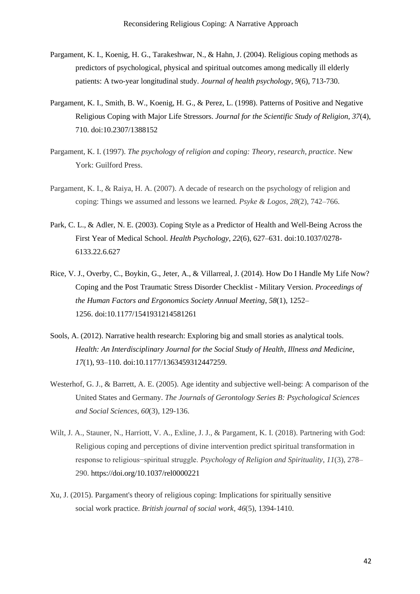- Pargament, K. I., Koenig, H. G., Tarakeshwar, N., & Hahn, J. (2004). Religious coping methods as predictors of psychological, physical and spiritual outcomes among medically ill elderly patients: A two-year longitudinal study. *Journal of health psychology*, *9*(6), 713-730.
- Pargament, K. I., Smith, B. W., Koenig, H. G., & Perez, L. (1998). Patterns of Positive and Negative Religious Coping with Major Life Stressors. *Journal for the Scientific Study of Religion*, *37*(4), 710. doi:10.2307/1388152
- Pargament, K. I. (1997). *The psychology of religion and coping: Theory, research, practice*. New York: Guilford Press.
- Pargament, K. I., & Raiya, H. A. (2007). A decade of research on the psychology of religion and coping: Things we assumed and lessons we learned. *Psyke & Logos*, *28*(2), 742–766.
- Park, C. L., & Adler, N. E. (2003). Coping Style as a Predictor of Health and Well-Being Across the First Year of Medical School. *Health Psychology*, *22*(6), 627–631. doi:10.1037/0278- 6133.22.6.627
- Rice, V. J., Overby, C., Boykin, G., Jeter, A., & Villarreal, J. (2014). How Do I Handle My Life Now? Coping and the Post Traumatic Stress Disorder Checklist - Military Version. *Proceedings of the Human Factors and Ergonomics Society Annual Meeting*, *58*(1), 1252– 1256. doi:10.1177/1541931214581261
- Sools, A. (2012). Narrative health research: Exploring big and small stories as analytical tools. *Health: An Interdisciplinary Journal for the Social Study of Health*, *Illness and Medicine*, *17*(1), 93–110. doi:10.1177/1363459312447259.
- Westerhof, G. J., & Barrett, A. E. (2005). Age identity and subjective well-being: A comparison of the United States and Germany. *The Journals of Gerontology Series B: Psychological Sciences and Social Sciences*, *60*(3), 129-136.
- Wilt, J. A., Stauner, N., Harriott, V. A., Exline, J. J., & Pargament, K. I. (2018). Partnering with God: Religious coping and perceptions of divine intervention predict spiritual transformation in response to religious−spiritual struggle. *Psychology of Religion and Spirituality*, *11*(3), 278– 290. https://doi.org/10.1037/rel0000221
- Xu, J. (2015). Pargament's theory of religious coping: Implications for spiritually sensitive social work practice. *British journal of social work*, *46*(5), 1394-1410.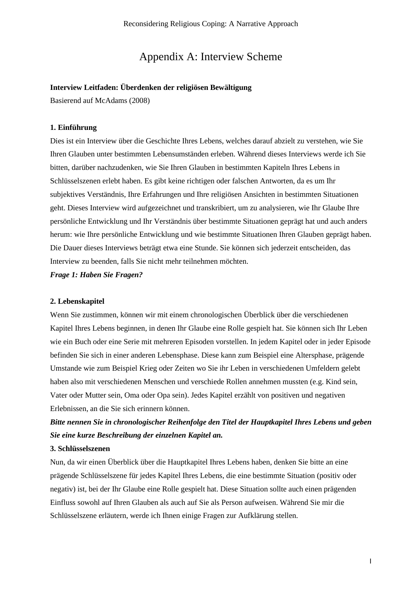# Appendix A: Interview Scheme

#### <span id="page-43-0"></span>**Interview Leitfaden: Überdenken der religiösen Bewältigung**

Basierend auf McAdams (2008)

#### **1. Einführung**

Dies ist ein Interview über die Geschichte Ihres Lebens, welches darauf abzielt zu verstehen, wie Sie Ihren Glauben unter bestimmten Lebensumständen erleben. Während dieses Interviews werde ich Sie bitten, darüber nachzudenken, wie Sie Ihren Glauben in bestimmten Kapiteln Ihres Lebens in Schlüsselszenen erlebt haben. Es gibt keine richtigen oder falschen Antworten, da es um Ihr subjektives Verständnis, Ihre Erfahrungen und Ihre religiösen Ansichten in bestimmten Situationen geht. Dieses Interview wird aufgezeichnet und transkribiert, um zu analysieren, wie Ihr Glaube Ihre persönliche Entwicklung und Ihr Verständnis über bestimmte Situationen geprägt hat und auch anders herum: wie Ihre persönliche Entwicklung und wie bestimmte Situationen Ihren Glauben geprägt haben. Die Dauer dieses Interviews beträgt etwa eine Stunde. Sie können sich jederzeit entscheiden, das Interview zu beenden, falls Sie nicht mehr teilnehmen möchten.

*Frage 1: Haben Sie Fragen?* 

#### **2. Lebenskapitel**

Wenn Sie zustimmen, können wir mit einem chronologischen Überblick über die verschiedenen Kapitel Ihres Lebens beginnen, in denen Ihr Glaube eine Rolle gespielt hat. Sie können sich Ihr Leben wie ein Buch oder eine Serie mit mehreren Episoden vorstellen. In jedem Kapitel oder in jeder Episode befinden Sie sich in einer anderen Lebensphase. Diese kann zum Beispiel eine Altersphase, prägende Umstande wie zum Beispiel Krieg oder Zeiten wo Sie ihr Leben in verschiedenen Umfeldern gelebt haben also mit verschiedenen Menschen und verschiede Rollen annehmen mussten (e.g. Kind sein, Vater oder Mutter sein, Oma oder Opa sein). Jedes Kapitel erzählt von positiven und negativen Erlebnissen, an die Sie sich erinnern können.

*Bitte nennen Sie in chronologischer Reihenfolge den Titel der Hauptkapitel Ihres Lebens und geben Sie eine kurze Beschreibung der einzelnen Kapitel an.*

#### **3. Schlüsselszenen**

Nun, da wir einen Überblick über die Hauptkapitel Ihres Lebens haben, denken Sie bitte an eine prägende Schlüsselszene für jedes Kapitel Ihres Lebens, die eine bestimmte Situation (positiv oder negativ) ist, bei der Ihr Glaube eine Rolle gespielt hat. Diese Situation sollte auch einen prägenden Einfluss sowohl auf Ihren Glauben als auch auf Sie als Person aufweisen. Während Sie mir die Schlüsselszene erläutern, werde ich Ihnen einige Fragen zur Aufklärung stellen.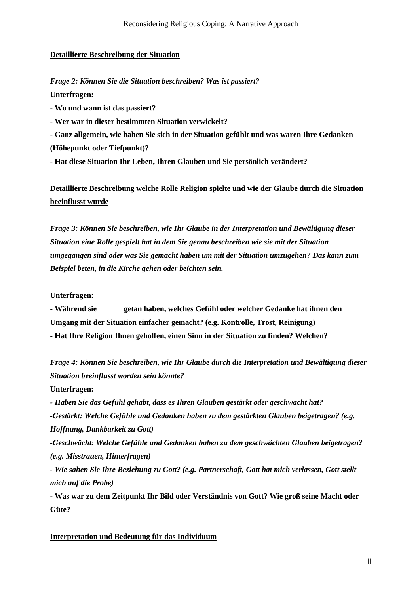#### **Detaillierte Beschreibung der Situation**

*Frage 2: Können Sie die Situation beschreiben? Was ist passiert?*

**Unterfragen:**

**- Wo und wann ist das passiert?**

**- Wer war in dieser bestimmten Situation verwickelt?**

**- Ganz allgemein, wie haben Sie sich in der Situation gefühlt und was waren Ihre Gedanken (Höhepunkt oder Tiefpunkt)?** 

**- Hat diese Situation Ihr Leben, Ihren Glauben und Sie persönlich verändert?**

## **Detaillierte Beschreibung welche Rolle Religion spielte und wie der Glaube durch die Situation beeinflusst wurde**

*Frage 3: Können Sie beschreiben, wie Ihr Glaube in der Interpretation und Bewältigung dieser Situation eine Rolle gespielt hat in dem Sie genau beschreiben wie sie mit der Situation umgegangen sind oder was Sie gemacht haben um mit der Situation umzugehen? Das kann zum Beispiel beten, in die Kirche gehen oder beichten sein.*

**Unterfragen:**

**- Während sie \_\_\_\_\_\_ getan haben, welches Gefühl oder welcher Gedanke hat ihnen den Umgang mit der Situation einfacher gemacht? (e.g. Kontrolle, Trost, Reinigung) - Hat Ihre Religion Ihnen geholfen, einen Sinn in der Situation zu finden? Welchen?**

*Frage 4: Können Sie beschreiben, wie Ihr Glaube durch die Interpretation und Bewältigung dieser Situation beeinflusst worden sein könnte?*

**Unterfragen:**

*- Haben Sie das Gefühl gehabt, dass es Ihren Glauben gestärkt oder geschwächt hat?* 

*-Gestärkt: Welche Gefühle und Gedanken haben zu dem gestärkten Glauben beigetragen? (e.g. Hoffnung, Dankbarkeit zu Gott)*

*-Geschwächt: Welche Gefühle und Gedanken haben zu dem geschwächten Glauben beigetragen? (e.g. Misstrauen, Hinterfragen)*

*- Wie sahen Sie Ihre Beziehung zu Gott? (e.g. Partnerschaft, Gott hat mich verlassen, Gott stellt mich auf die Probe)*

**- Was war zu dem Zeitpunkt Ihr Bild oder Verständnis von Gott? Wie groß seine Macht oder Güte?**

#### **Interpretation und Bedeutung für das Individuum**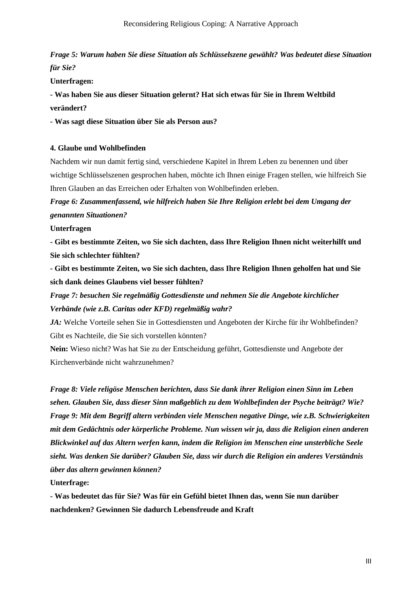*Frage 5: Warum haben Sie diese Situation als Schlüsselszene gewählt? Was bedeutet diese Situation für Sie?*

**Unterfragen:** 

**- Was haben Sie aus dieser Situation gelernt? Hat sich etwas für Sie in Ihrem Weltbild verändert?**

**- Was sagt diese Situation über Sie als Person aus?**

#### **4. Glaube und Wohlbefinden**

Nachdem wir nun damit fertig sind, verschiedene Kapitel in Ihrem Leben zu benennen und über wichtige Schlüsselszenen gesprochen haben, möchte ich Ihnen einige Fragen stellen, wie hilfreich Sie Ihren Glauben an das Erreichen oder Erhalten von Wohlbefinden erleben.

*Frage 6: Zusammenfassend, wie hilfreich haben Sie Ihre Religion erlebt bei dem Umgang der genannten Situationen?*

**Unterfragen**

**- Gibt es bestimmte Zeiten, wo Sie sich dachten, dass Ihre Religion Ihnen nicht weiterhilft und Sie sich schlechter fühlten?**

**- Gibt es bestimmte Zeiten, wo Sie sich dachten, dass Ihre Religion Ihnen geholfen hat und Sie sich dank deines Glaubens viel besser fühlten?**

*Frage 7: besuchen Sie regelmäßig Gottesdienste und nehmen Sie die Angebote kirchlicher Verbände (wie z.B. Caritas oder KFD) regelmäßig wahr?*

*JA:* Welche Vorteile sehen Sie in Gottesdiensten und Angeboten der Kirche für ihr Wohlbefinden? Gibt es Nachteile, die Sie sich vorstellen könnten?

**Nein:** Wieso nicht? Was hat Sie zu der Entscheidung geführt, Gottesdienste und Angebote der Kirchenverbände nicht wahrzunehmen?

*Frage 8: Viele religöse Menschen berichten, dass Sie dank ihrer Religion einen Sinn im Leben sehen. Glauben Sie, dass dieser Sinn maßgeblich zu dem Wohlbefinden der Psyche beiträgt? Wie? Frage 9: Mit dem Begriff altern verbinden viele Menschen negative Dinge, wie z.B. Schwierigkeiten mit dem Gedächtnis oder körperliche Probleme. Nun wissen wir ja, dass die Religion einen anderen Blickwinkel auf das Altern werfen kann, indem die Religion im Menschen eine unsterbliche Seele sieht. Was denken Sie darüber? Glauben Sie, dass wir durch die Religion ein anderes Verständnis über das altern gewinnen können?* 

**Unterfrage:** 

**- Was bedeutet das für Sie? Was für ein Gefühl bietet Ihnen das, wenn Sie nun darüber nachdenken? Gewinnen Sie dadurch Lebensfreude and Kraft**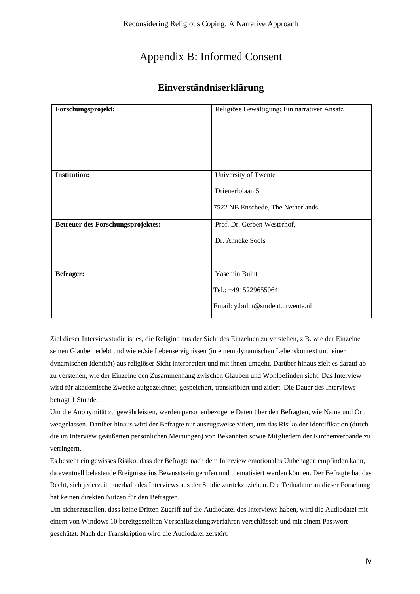# Appendix B: Informed Consent

| Einverständniserklärung |  |  |
|-------------------------|--|--|
|                         |  |  |

<span id="page-46-0"></span>

| Forschungsprojekt:                | Religiöse Bewältigung: Ein narrativer Ansatz |
|-----------------------------------|----------------------------------------------|
|                                   |                                              |
|                                   |                                              |
| <b>Institution:</b>               | University of Twente                         |
|                                   | Drienerlolaan 5                              |
|                                   | 7522 NB Enschede, The Netherlands            |
| Betreuer des Forschungsprojektes: | Prof. Dr. Gerben Westerhof,                  |
|                                   | Dr. Anneke Sools                             |
|                                   |                                              |
| Befrager:                         | Yasemin Bulut                                |
|                                   | Tel.: +4915229655064                         |
|                                   | Email: y.bulut@student.utwente.nl            |

Ziel dieser Interviewstudie ist es, die Religion aus der Sicht des Einzelnen zu verstehen, z.B. wie der Einzelne seinen Glauben erlebt und wie er/sie Lebensereignissen (in einem dynamischen Lebenskontext und einer dynamischen Identität) aus religiöser Sicht interpretiert und mit ihnen umgeht. Darüber hinaus zielt es darauf ab zu verstehen, wie der Einzelne den Zusammenhang zwischen Glauben und Wohlbefinden sieht. Das Interview wird für akademische Zwecke aufgezeichnet, gespeichert, transkribiert und zitiert. Die Dauer des Interviews beträgt 1 Stunde.

Um die Anonymität zu gewährleisten, werden personenbezogene Daten über den Befragten, wie Name und Ort, weggelassen. Darüber hinaus wird der Befragte nur auszugsweise zitiert, um das Risiko der Identifikation (durch die im Interview geäußerten persönlichen Meinungen) von Bekannten sowie Mitgliedern der Kirchenverbände zu verringern.

Es besteht ein gewisses Risiko, dass der Befragte nach dem Interview emotionales Unbehagen empfinden kann, da eventuell belastende Ereignisse ins Bewusstsein gerufen und thematisiert werden können. Der Befragte hat das Recht, sich jederzeit innerhalb des Interviews aus der Studie zurückzuziehen. Die Teilnahme an dieser Forschung hat keinen direkten Nutzen für den Befragten.

Um sicherzustellen, dass keine Dritten Zugriff auf die Audiodatei des Interviews haben, wird die Audiodatei mit einem von Windows 10 bereitgestellten Verschlüsselungsverfahren verschlüsselt und mit einem Passwort geschützt. Nach der Transkription wird die Audiodatei zerstört.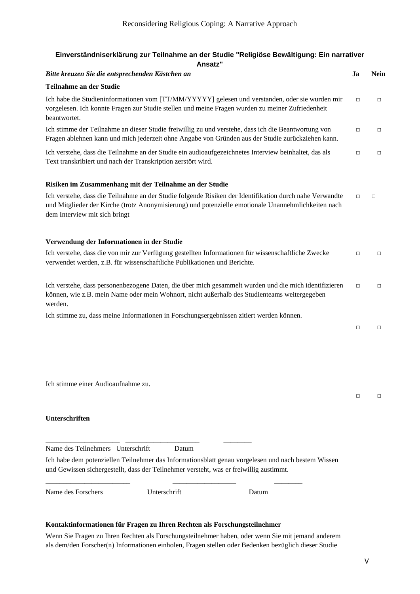| Einverständniserklärung zur Teilnahme an der Studie "Religiöse Bewältigung: Ein narrativer<br>Ansatz"                                                                                                                                           |        |             |
|-------------------------------------------------------------------------------------------------------------------------------------------------------------------------------------------------------------------------------------------------|--------|-------------|
| Bitte kreuzen Sie die entsprechenden Kästchen an                                                                                                                                                                                                | Ja     | <b>Nein</b> |
| Teilnahme an der Studie                                                                                                                                                                                                                         |        |             |
| Ich habe die Studieninformationen vom [TT/MM/YYYYY] gelesen und verstanden, oder sie wurden mir<br>vorgelesen. Ich konnte Fragen zur Studie stellen und meine Fragen wurden zu meiner Zufriedenheit<br>beantwortet.                             | $\Box$ | $\Box$      |
| Ich stimme der Teilnahme an dieser Studie freiwillig zu und verstehe, dass ich die Beantwortung von<br>Fragen ablehnen kann und mich jederzeit ohne Angabe von Gründen aus der Studie zurückziehen kann.                                        | $\Box$ | $\Box$      |
| Ich verstehe, dass die Teilnahme an der Studie ein audioaufgezeichnetes Interview beinhaltet, das als<br>Text transkribiert und nach der Transkription zerstört wird.                                                                           | $\Box$ | $\Box$      |
| Risiken im Zusammenhang mit der Teilnahme an der Studie                                                                                                                                                                                         |        |             |
| Ich verstehe, dass die Teilnahme an der Studie folgende Risiken der Identifikation durch nahe Verwandte<br>und Mitglieder der Kirche (trotz Anonymisierung) und potenzielle emotionale Unannehmlichkeiten nach<br>dem Interview mit sich bringt | $\Box$ | $\Box$      |
| Verwendung der Informationen in der Studie                                                                                                                                                                                                      |        |             |
| Ich verstehe, dass die von mir zur Verfügung gestellten Informationen für wissenschaftliche Zwecke<br>verwendet werden, z.B. für wissenschaftliche Publikationen und Berichte.                                                                  | $\Box$ | $\Box$      |
| Ich verstehe, dass personenbezogene Daten, die über mich gesammelt wurden und die mich identifizieren<br>können, wie z.B. mein Name oder mein Wohnort, nicht außerhalb des Studienteams weitergegeben<br>werden.                                | $\Box$ | $\Box$      |
| Ich stimme zu, dass meine Informationen in Forschungsergebnissen zitiert werden können.                                                                                                                                                         | $\Box$ | $\Box$      |
|                                                                                                                                                                                                                                                 |        |             |
| Ich stimme einer Audioaufnahme zu.                                                                                                                                                                                                              | □      | $\Box$      |
| Unterschriften                                                                                                                                                                                                                                  |        |             |
| Name des Teilnehmers Unterschrift<br>Datum<br>Ich habe dem potenziellen Teilnehmer das Informationsblatt genau vorgelesen und nach bestem Wissen<br>und Gewissen sichergestellt, dass der Teilnehmer versteht, was er freiwillig zustimmt.      |        |             |
| Name des Forschers<br>Unterschrift<br>Datum                                                                                                                                                                                                     |        |             |
|                                                                                                                                                                                                                                                 |        |             |

#### **Kontaktinformationen für Fragen zu Ihren Rechten als Forschungsteilnehmer**

Wenn Sie Fragen zu Ihren Rechten als Forschungsteilnehmer haben, oder wenn Sie mit jemand anderem als dem/den Forscher(n) Informationen einholen, Fragen stellen oder Bedenken bezüglich dieser Studie